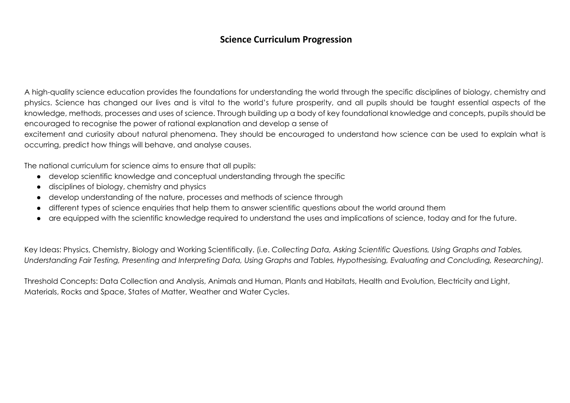A high-quality science education provides the foundations for understanding the world through the specific disciplines of biology, chemistry and physics. Science has changed our lives and is vital to the world's future prosperity, and all pupils should be taught essential aspects of the knowledge, methods, processes and uses of science. Through building up a body of key foundational knowledge and concepts, pupils should be encouraged to recognise the power of rational explanation and develop a sense of

excitement and curiosity about natural phenomena. They should be encouraged to understand how science can be used to explain what is occurring, predict how things will behave, and analyse causes.

The national curriculum for science aims to ensure that all pupils:

- develop scientific knowledge and conceptual understanding through the specific
- disciplines of biology, chemistry and physics
- develop understanding of the nature, processes and methods of science through
- different types of science enquiries that help them to answer scientific questions about the world around them
- are equipped with the scientific knowledge required to understand the uses and implications of science, today and for the future.

Key Ideas: Physics, Chemistry, Biology and Working Scientifically. (i.e. *Collecting Data, Asking Scientific Questions, Using Graphs and Tables, Understanding Fair Testing, Presenting and Interpreting Data, Using Graphs and Tables, Hypothesising, Evaluating and Concluding, Researching).*

Threshold Concepts: Data Collection and Analysis, Animals and Human, Plants and Habitats, Health and Evolution, Electricity and Light, Materials, Rocks and Space, States of Matter, Weather and Water Cycles.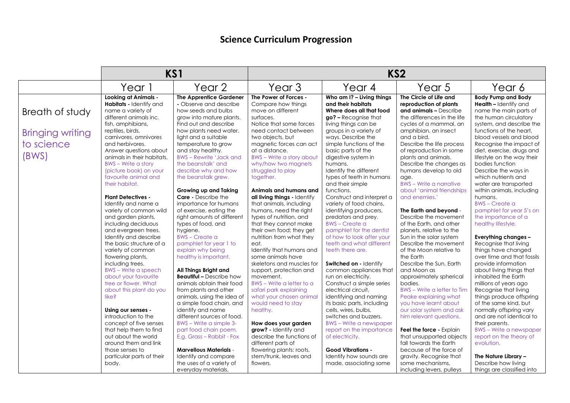|                         |                                                        | KS1                                                      | KS <sub>2</sub>                             |                                                       |                                                  |                                                           |
|-------------------------|--------------------------------------------------------|----------------------------------------------------------|---------------------------------------------|-------------------------------------------------------|--------------------------------------------------|-----------------------------------------------------------|
|                         | Year 1                                                 | Year 2                                                   | Year <sub>3</sub>                           | Year 4                                                | Year 5                                           | Year 6                                                    |
|                         | <b>Looking at Animals -</b><br>Habitats - Identify and | <b>The Apprentice Gardener</b><br>- Observe and describe | The Power of Forces -<br>Compare how things | Who am I? - Living things<br>and their habitats       | The Circle of Life and<br>reproduction of plants | <b>Body Pump and Body</b><br><b>Health - Identify and</b> |
| Breath of study         | name a variety of                                      | how seeds and bulbs                                      | move on different                           | Where does all that food                              | and animals - Describe                           | name the main parts of                                    |
|                         | different animals inc.                                 | grow into mature plants.                                 | surfaces.                                   | go? - Recognise that                                  | the differences in the life                      | the human circulatory                                     |
|                         | fish, amphibians,                                      | Find out and describe                                    | Notice that some forces                     | living things can be                                  | cycles of a mammal, an                           | system, and describe the                                  |
| <b>Bringing writing</b> | reptiles, birds,                                       | how plants need water,                                   | need contact between                        | groups in a variety of                                | amphibian, an insect                             | functions of the heart,                                   |
|                         | carnivores, omnivores                                  | light and a suitable                                     | two objects, but                            | ways. Describe the                                    | and a bird.                                      | blood vessels and blood                                   |
| to science              | and herbivores.                                        | temperature to grow                                      | magnetic forces can act                     | simple functions of the                               | Describe the life process                        | Recognise the impact of                                   |
|                         | Answer questions about                                 | and stay healthy.                                        | at a distance.                              | basic parts of the                                    | of reproduction in some                          | diet, exercise, drugs and                                 |
| (BWS)                   | animals in their habitats.                             | <b>BWS-Rewrite 'Jack and</b>                             | <b>BWS</b> - Write a story about            | digestive system in                                   | plants and animals.                              | lifestyle on the way their                                |
|                         | <b>BWS</b> – Write a story                             | the beanstalk' and                                       | why/how two magnets                         | humans.                                               | Describe the changes as                          | bodies function                                           |
|                         | (picture book) on your                                 | describe why and how                                     | struggled to play                           | Identify the different                                | humans develop to old                            | Describe the ways in                                      |
|                         | favourite animal and                                   | the beanstalk grew.                                      | together.                                   | types of teeth in humans                              | age.                                             | which nutrients and                                       |
|                         | their habitat.                                         |                                                          |                                             | and their simple                                      | <b>BWS</b> - Write a narrative                   | water are transported                                     |
|                         |                                                        | Growing up and Taking                                    | Animals and humans and                      | functions.                                            | about 'animal friendships                        | within animals, including                                 |
|                         | <b>Plant Detectives -</b>                              | <b>Care - Describe the</b>                               | all living things - Identify                | Construct and interpret a                             | and enemies.'                                    | humans.                                                   |
|                         | Identify and name a                                    | importance for humans                                    | that animals, including                     | variety of food chains,                               |                                                  | <b>BWS-Create a</b>                                       |
|                         | variety of common wild                                 | of exercise, eating the                                  | humans, need the right                      | identifying producers,                                | The Earth and beyond -                           | pamphlet for year 5's on                                  |
|                         | and garden plants,                                     | right amounts of different                               | types of nutrition, and                     | predators and prey.<br><b>BWS-Create a</b>            | Describe the movement                            | the importance of a                                       |
|                         | including deciduous                                    | types of food, and                                       | that they cannot make                       |                                                       | of the Earth, and other                          | healthy lifestyle.                                        |
|                         | and evergreen trees.                                   | hygiene.                                                 | their own food; they get                    | pamphlet for the dentist                              | planets, relative to the                         |                                                           |
|                         | Identify and describe<br>the basic structure of a      | <b>BWS</b> – Create a<br>pamphlet for year 1 to          | nutrition from what they                    | of how to look after your<br>teeth and what different | Sun in the solar system<br>Describe the movement | <b>Everything changes -</b><br>Recognise that living      |
|                         | variety of common                                      | explain why being                                        | eat.<br>Identify that humans and            | teeth there are.                                      | of the Moon relative to                          | things have changed                                       |
|                         | flowering plants,                                      | healthy is important.                                    | some animals have                           |                                                       | the Earth                                        | over time and that fossils                                |
|                         | including trees.                                       |                                                          | skeletons and muscles for                   | Switched on - Identify                                | Describe the Sun, Earth                          | provide information                                       |
|                         | <b>BWS</b> – Write a speech                            | All Things Bright and                                    | support, protection and                     | common appliances that                                | and Moon as                                      | about living things that                                  |
|                         | about your favourite                                   | <b>Beautiful - Describe how</b>                          | movement.                                   | run on electricity.                                   | approximately spherical                          | inhabited the Earth                                       |
|                         | tree or flower. What                                   | animals obtain their food                                | BWS - Write a letter to a                   | Construct a simple series                             | bodies.                                          | millions of years ago                                     |
|                         | about this plant do you                                | from plants and other                                    | safari park explaining                      | electrical circuit.                                   | BWS - Write a letter to Tim                      | Recognise that living                                     |
|                         | like?                                                  | animals, using the idea of                               | what your chosen animal                     | identifying and naming                                | Peake explaining what                            | things produce offspring                                  |
|                         |                                                        | a simple food chain, and                                 | would need to stay                          | its basic parts, including                            | you have learnt about                            | of the same kind, but                                     |
|                         | Using our senses -                                     | identify and name                                        | healthy.                                    | cells, wires, bulbs,                                  | our solar system and ask                         | normally offspring vary                                   |
|                         | introduction to the                                    | different sources of food.                               |                                             | switches and buzzers.                                 | him relevant questions.                          | and are not identical to                                  |
|                         | concept of five senses                                 | BWS - Write a simple 3-                                  | How does your garden                        | <b>BWS</b> - Write a newspaper                        |                                                  | their parents.                                            |
|                         | that help them to find                                 | part food chain poem.                                    | grow? - Identify and                        | report on the importance                              | Feel the force - Explain                         | <b>BWS</b> – Write a newspaper                            |
|                         | out about the world                                    | E.g. Grass - Rabbit - Fox                                | describe the functions of                   | of electricity.                                       | that unsupported objects                         | report on the theory of                                   |
|                         | around them and link                                   |                                                          | different parts of                          |                                                       | fall towards the Earth                           | evolution.                                                |
|                         | those senses to                                        | <b>Marvellous Materials -</b>                            | flowering plants: roots,                    | <b>Good Vibrations -</b>                              | because of the force of                          |                                                           |
|                         | particular parts of their                              | Identify and compare                                     | stem/trunk, leaves and                      | Identify how sounds are                               | gravity. Recognise that                          | The Nature Library -                                      |
|                         | body.                                                  | the uses of a variety of                                 | flowers.                                    | made, associating some                                | some mechanisms,                                 | Describe how living                                       |
|                         |                                                        | everyday materials,                                      |                                             |                                                       | including levers, pulleys                        | things are classified into                                |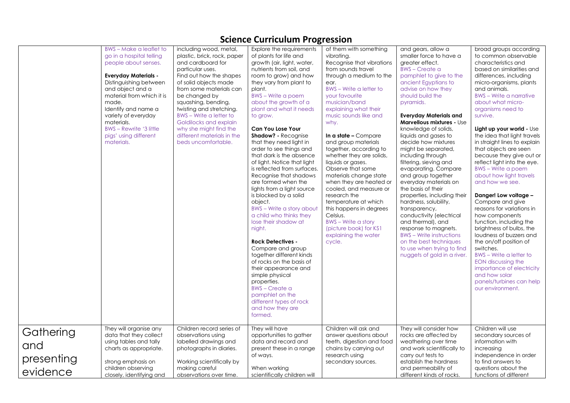|                                            |                                                                                                                                                                                                                                                                                                                                                                    |                                                                                                                                                                                                                                                                                                                                                                                                                           | Science Curriculum Progression                                                                                                                                                                                                                                                                                                                                                                                                                                                                                                                                                                                                                                                                                                                                                                                                                                                                                                                                                            |                                                                                                                                                                                                                                                                                                                                                                                                                                                                                                                                                                                                                                                                                      |                                                                                                                                                                                                                                                                                                                                                                                                                                                                                                                                                                                                                                                                                                                                                                                                                        |                                                                                                                                                                                                                                                                                                                                                                                                                                                                                                                                                                                                                                                                                                                                                                                                                                                                                                                                   |
|--------------------------------------------|--------------------------------------------------------------------------------------------------------------------------------------------------------------------------------------------------------------------------------------------------------------------------------------------------------------------------------------------------------------------|---------------------------------------------------------------------------------------------------------------------------------------------------------------------------------------------------------------------------------------------------------------------------------------------------------------------------------------------------------------------------------------------------------------------------|-------------------------------------------------------------------------------------------------------------------------------------------------------------------------------------------------------------------------------------------------------------------------------------------------------------------------------------------------------------------------------------------------------------------------------------------------------------------------------------------------------------------------------------------------------------------------------------------------------------------------------------------------------------------------------------------------------------------------------------------------------------------------------------------------------------------------------------------------------------------------------------------------------------------------------------------------------------------------------------------|--------------------------------------------------------------------------------------------------------------------------------------------------------------------------------------------------------------------------------------------------------------------------------------------------------------------------------------------------------------------------------------------------------------------------------------------------------------------------------------------------------------------------------------------------------------------------------------------------------------------------------------------------------------------------------------|------------------------------------------------------------------------------------------------------------------------------------------------------------------------------------------------------------------------------------------------------------------------------------------------------------------------------------------------------------------------------------------------------------------------------------------------------------------------------------------------------------------------------------------------------------------------------------------------------------------------------------------------------------------------------------------------------------------------------------------------------------------------------------------------------------------------|-----------------------------------------------------------------------------------------------------------------------------------------------------------------------------------------------------------------------------------------------------------------------------------------------------------------------------------------------------------------------------------------------------------------------------------------------------------------------------------------------------------------------------------------------------------------------------------------------------------------------------------------------------------------------------------------------------------------------------------------------------------------------------------------------------------------------------------------------------------------------------------------------------------------------------------|
|                                            | <b>BWS</b> – Make a leaflet to<br>go in a hospital telling<br>people about senses.<br><b>Everyday Materials -</b><br>Distinguishing between<br>and object and a<br>material from which it is<br>made.<br>Identify and name a<br>variety of everyday<br>materials.<br><b>BWS-Rewrite '3 little</b><br>pigs' using different<br>materials.<br>They will organise any | including wood, metal,<br>plastic, brick, rock, paper<br>and cardboard for<br>particular uses.<br>Find out how the shapes<br>of solid objects made<br>from some materials can<br>be changed by<br>squashing, bending,<br>twisting and stretching.<br><b>BWS</b> – Write a letter to<br>Goldilocks and explain<br>why she might find the<br>different materials in the<br>beds uncomfortable.<br>Children record series of | Explore the requirements<br>of plants for life and<br>growth (air, light, water,<br>nutrients from soil, and<br>room to grow) and how<br>they vary from plant to<br>plant.<br><b>BWS</b> – Write a poem<br>about the growth of a<br>plant and what it needs<br>to grow.<br><b>Can You Lose Your</b><br><b>Shadow?</b> - Recognise<br>that they need light in<br>order to see things and<br>that dark is the absence<br>of light. Notice that light<br>is reflected from surfaces.<br>Recognise that shadows<br>are formed when the<br>lights from a light source<br>is blocked by a solid<br>object.<br>BWS – Write a story about<br>a child who thinks they<br>lose their shadow at<br>night.<br><b>Rock Detectives -</b><br>Compare and group<br>together different kinds<br>of rocks on the basis of<br>their appearance and<br>simple physical<br>properties.<br><b>BWS</b> – Create a<br>pamphlet on the<br>different types of rock<br>and how they are<br>formed.<br>They will have | of them with something<br>vibrating.<br>Recognise that vibrations<br>from sounds travel<br>through a medium to the<br>ear.<br>BWS - Write a letter to<br>your favourite<br>musician/band<br>explaining what their<br>music sounds like and<br>why.<br>In a state $-$ Compare<br>and group materials<br>together, according to<br>whether they are solids,<br>liquids or gases.<br>Observe that some<br>materials change state<br>when they are heated or<br>cooled, and measure or<br>research the<br>temperature at which<br>this happens in degrees<br>Celsius.<br><b>BWS</b> – Write a story<br>(picture book) for KS1<br>explaining the water<br>cycle.<br>Children will ask and | and gears, allow a<br>smaller force to have a<br>greater effect.<br><b>BWS-Create a</b><br>pamphlet to give to the<br>ancient Egyptians to<br>advise on how they<br>should build the<br>pyramids.<br><b>Everyday Materials and</b><br><b>Marvellous mixtures - Use</b><br>knowledge of solids,<br>liquids and gases to<br>decide how mixtures<br>might be separated,<br>including through<br>filtering, sieving and<br>evaporating. Compare<br>and group together<br>everyday materials on<br>the basis of their<br>properties, including their<br>hardness, solubility,<br>transparency,<br>conductivity (electrical<br>and thermal), and<br>response to magnets.<br><b>BWS</b> – Write instructions<br>on the best techniques<br>to use when trying to find<br>nuggets of gold in a river.<br>They will consider how | broad groups according<br>to common observable<br>characteristics and<br>based on similarities and<br>differences, including<br>micro-organisms, plants<br>and animals.<br><b>BWS</b> - Write a narrative<br>about what micro-<br>organisms need to<br>survive.<br>Light up your world - Use<br>the idea that light travels<br>in straight lines to explain<br>that objects are seen<br>because they give out or<br>reflect light into the eye.<br><b>BWS</b> – Write a poem<br>about how light travels<br>and how we see.<br>Danger! Low voltage -<br>Compare and give<br>reasons for variations in<br>how components<br>function, including the<br>brightness of bulbs, the<br>loudness of buzzers and<br>the on/off position of<br>switches.<br><b>BWS</b> - Write a letter to<br><b>EON discussing the</b><br>importance of electricity<br>and how solar<br>panels/turbines can help<br>our environment.<br>Children will use |
| Gathering<br>and<br>presenting<br>evidence | data that they collect<br>using tables and tally<br>charts as appropriate.<br>strong emphasis on<br>children observing<br>closely, identifying and                                                                                                                                                                                                                 | observations using<br>labelled drawings and<br>photographs in diaries.<br>Working scientifically by<br>making careful<br>observations over time.                                                                                                                                                                                                                                                                          | opportunities to gather<br>data and record and<br>present these in a range<br>of ways.<br>When working<br>scientifically children will                                                                                                                                                                                                                                                                                                                                                                                                                                                                                                                                                                                                                                                                                                                                                                                                                                                    | answer questions about<br>teeth, digestion and food<br>chains by carrying out<br>research using<br>secondary sources.                                                                                                                                                                                                                                                                                                                                                                                                                                                                                                                                                                | rocks are affected by<br>weathering over time<br>and work scientifically to<br>carry out tests to<br>establish the hardness<br>and permeability of<br>different kinds of rocks.                                                                                                                                                                                                                                                                                                                                                                                                                                                                                                                                                                                                                                        | secondary sources of<br>information with<br>increasing<br>independence in order<br>to find answers to<br>questions about the<br>functions of different                                                                                                                                                                                                                                                                                                                                                                                                                                                                                                                                                                                                                                                                                                                                                                            |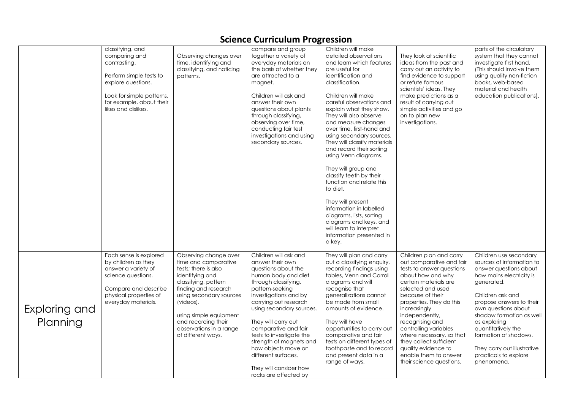|                           |                                                                                                                                                                                    |                                                                                                                                                                                                                                                                                    | Science Carncalam Frogression                                                                                                                                                                                                                                                                                                                                                                                           |                                                                                                                                                                                                                                                                                                                                                                                                                                                                                                                                                                                                                                                                                |                                                                                                                                                                                                                                                                                                                                                                                                                      |                                                                                                                                                                                                                                                                                                                                                                 |
|---------------------------|------------------------------------------------------------------------------------------------------------------------------------------------------------------------------------|------------------------------------------------------------------------------------------------------------------------------------------------------------------------------------------------------------------------------------------------------------------------------------|-------------------------------------------------------------------------------------------------------------------------------------------------------------------------------------------------------------------------------------------------------------------------------------------------------------------------------------------------------------------------------------------------------------------------|--------------------------------------------------------------------------------------------------------------------------------------------------------------------------------------------------------------------------------------------------------------------------------------------------------------------------------------------------------------------------------------------------------------------------------------------------------------------------------------------------------------------------------------------------------------------------------------------------------------------------------------------------------------------------------|----------------------------------------------------------------------------------------------------------------------------------------------------------------------------------------------------------------------------------------------------------------------------------------------------------------------------------------------------------------------------------------------------------------------|-----------------------------------------------------------------------------------------------------------------------------------------------------------------------------------------------------------------------------------------------------------------------------------------------------------------------------------------------------------------|
|                           | classifying, and<br>comparing and<br>contrasting.<br>Perform simple tests to<br>explore questions.<br>Look for simple patterns,<br>for example, about their<br>likes and dislikes. | Observing changes over<br>time, identifying and<br>classifying, and noticing<br>patterns.                                                                                                                                                                                          | compare and group<br>together a variety of<br>everyday materials on<br>the basis of whether they<br>are attracted to a<br>magnet.<br>Children will ask and<br>answer their own<br>questions about plants<br>through classifying,<br>observing over time,<br>conducting fair test<br>investigations and using<br>secondary sources.                                                                                      | Children will make<br>detailed observations<br>and learn which features<br>are useful for<br>identification and<br>classification.<br>Children will make<br>careful observations and<br>explain what they show.<br>They will also observe<br>and measure changes<br>over time, first-hand and<br>using secondary sources.<br>They will classify materials<br>and record their sorting<br>using Venn diagrams.<br>They will group and<br>classify teeth by their<br>function and relate this<br>to diet.<br>They will present<br>information in labelled<br>diagrams, lists, sorting<br>diagrams and keys, and<br>will learn to interpret<br>information presented in<br>a key. | They look at scientific<br>ideas from the past and<br>carry out an activity to<br>find evidence to support<br>or refute famous<br>scientists' ideas. They<br>make predictions as a<br>result of carrying out<br>simple activities and go<br>on to plan new<br>investigations.                                                                                                                                        | parts of the circulatory<br>system that they cannot<br>investigate first hand.<br>(This should involve them<br>using quality non-fiction<br>books, web-based<br>material and health<br>education publications).                                                                                                                                                 |
| Exploring and<br>Planning | Each sense is explored<br>by children as they<br>answer a variety of<br>science questions.<br>Compare and describe<br>physical properties of<br>everyday materials.                | Observing change over<br>time and comparative<br>tests; there is also<br>identifying and<br>classifying, pattern<br>finding and research<br>using secondary sources<br>(videos).<br>using simple equipment<br>and recording their<br>observations in a range<br>of different ways. | Children will ask and<br>answer their own<br>questions about the<br>human body and diet<br>through classifying,<br>pattern-seeking<br>investigations and by<br>carrying out research<br>using secondary sources.<br>They will carry out<br>comparative and fair<br>tests to investigate the<br>strength of magnets and<br>how objects move on<br>different surfaces.<br>They will consider how<br>rocks are affected by | They will plan and carry<br>out a classifying enquiry,<br>recording findings using<br>tables, Venn and Carroll<br>diagrams and will<br>recognise that<br>generalizations cannot<br>be made from small<br>amounts of evidence.<br>They will have<br>opportunities to carry out<br>comparative and fair<br>tests on different types of<br>toothpaste and to record<br>and present data in a<br>range of ways.                                                                                                                                                                                                                                                                    | Children plan and carry<br>out comparative and fair<br>tests to answer questions<br>about how and why<br>certain materials are<br>selected and used<br>because of their<br>properties. They do this<br>increasingly<br>independently,<br>recognising and<br>controlling variables<br>where necessary, so that<br>they collect sufficient<br>quality evidence to<br>enable them to answer<br>their science questions. | Children use secondary<br>sources of information to<br>answer questions about<br>how mains electricity is<br>generated.<br>Children ask and<br>propose answers to their<br>own questions about<br>shadow formation as well<br>as exploring<br>quantitatively the<br>formation of shadows.<br>They carry out illustrative<br>practicals to explore<br>phenomena. |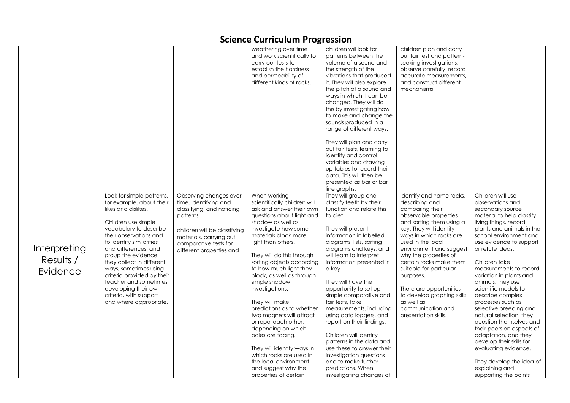|              |                                                  |                              | weathering over time<br>and work scientifically to | children will look for<br>patterns between the  | children plan and carry<br>out fair test and pattern- |                                                    |
|--------------|--------------------------------------------------|------------------------------|----------------------------------------------------|-------------------------------------------------|-------------------------------------------------------|----------------------------------------------------|
|              |                                                  |                              |                                                    |                                                 |                                                       |                                                    |
|              |                                                  |                              | carry out tests to<br>establish the hardness       | volume of a sound and                           | seeking investigations,                               |                                                    |
|              |                                                  |                              | and permeability of                                | the strength of the<br>vibrations that produced | observe carefully, record<br>accurate measurements.   |                                                    |
|              |                                                  |                              | different kinds of rocks.                          | it. They will also explore                      | and construct different                               |                                                    |
|              |                                                  |                              |                                                    | the pitch of a sound and                        | mechanisms.                                           |                                                    |
|              |                                                  |                              |                                                    | ways in which it can be                         |                                                       |                                                    |
|              |                                                  |                              |                                                    | changed. They will do                           |                                                       |                                                    |
|              |                                                  |                              |                                                    | this by investigating how                       |                                                       |                                                    |
|              |                                                  |                              |                                                    | to make and change the                          |                                                       |                                                    |
|              |                                                  |                              |                                                    | sounds produced in a                            |                                                       |                                                    |
|              |                                                  |                              |                                                    | range of different ways.                        |                                                       |                                                    |
|              |                                                  |                              |                                                    |                                                 |                                                       |                                                    |
|              |                                                  |                              |                                                    | They will plan and carry                        |                                                       |                                                    |
|              |                                                  |                              |                                                    | out fair tests, learning to                     |                                                       |                                                    |
|              |                                                  |                              |                                                    | identify and control                            |                                                       |                                                    |
|              |                                                  |                              |                                                    | variables and drawing                           |                                                       |                                                    |
|              |                                                  |                              |                                                    | up tables to record their                       |                                                       |                                                    |
|              |                                                  |                              |                                                    | data. This will then be                         |                                                       |                                                    |
|              |                                                  |                              |                                                    | presented as bar or bar                         |                                                       |                                                    |
|              |                                                  |                              |                                                    | line graphs.                                    |                                                       |                                                    |
|              | Look for simple patterns,                        | Observing changes over       | When working                                       | They will group and                             | Identify and name rocks,                              | Children will use                                  |
|              | for example, about their                         | time, identifying and        | scientifically children will                       | classify teeth by their                         | describing and                                        | observations and                                   |
|              | likes and dislikes.                              | classifying, and noticing    | ask and answer their own                           | function and relate this                        | comparing their                                       | secondary source                                   |
|              |                                                  | patterns.                    | questions about light and                          | to diet.                                        | observable properties                                 | material to help classify                          |
|              | Children use simple                              |                              | shadow as well as                                  |                                                 | and sorting them using a                              | living things, record<br>plants and animals in the |
|              | vocabulary to describe<br>their observations and | children will be classifying | investigate how some<br>materials block more       | They will present<br>information in labelled    | key. They will identify<br>ways in which rocks are    | school environment and                             |
|              | to identify similarities                         | materials, carrying out      | light than others.                                 | diagrams, lists, sorting                        | used in the local                                     | use evidence to support                            |
| Interpreting | and differences, and                             | comparative tests for        |                                                    | diagrams and keys, and                          | environment and suggest                               | or refute ideas.                                   |
|              | group the evidence                               | different properties and     | They will do this through                          | will learn to interpret                         | why the properties of                                 |                                                    |
| Results /    | they collect in different                        |                              | sorting objects according                          | information presented in                        | certain rocks make them                               | Children take                                      |
|              | ways, sometimes using                            |                              | to how much light they                             | a key.                                          | suitable for particular                               | measurements to record                             |
| Evidence     | criteria provided by their                       |                              | block, as well as through                          |                                                 | purposes.                                             | variation in plants and                            |
|              | teacher and sometimes                            |                              | simple shadow                                      | They will have the                              |                                                       | animals; they use                                  |
|              | developing their own                             |                              | investigations.                                    | opportunity to set up                           | There are opportunities                               | scientific models to                               |
|              | criteria, with support                           |                              |                                                    | simple comparative and                          | to develop graphing skills                            | describe complex                                   |
|              | and where appropriate.                           |                              | They will make                                     | fair tests, take                                | as well as                                            | processes such as                                  |
|              |                                                  |                              | predictions as to whether                          | measurements, including                         | communication and                                     | selective breeding and                             |
|              |                                                  |                              | two magnets will attract                           | using data loggers, and                         | presentation skills.                                  | natural selection, they                            |
|              |                                                  |                              | or repel each other,                               | report on their findings.                       |                                                       | question themselves and                            |
|              |                                                  |                              | depending on which                                 |                                                 |                                                       | their peers on aspects of                          |
|              |                                                  |                              | poles are facing.                                  | Children will identify                          |                                                       | adaptation, and they                               |
|              |                                                  |                              |                                                    | patterns in the data and                        |                                                       | develop their skills for                           |
|              |                                                  |                              | They will identify ways in                         | use these to answer their                       |                                                       | evaluating evidence.                               |
|              |                                                  |                              | which rocks are used in                            | investigation questions                         |                                                       |                                                    |
|              |                                                  |                              | the local environment                              | and to make further                             |                                                       | They develop the idea of                           |
|              |                                                  |                              | and suggest why the                                | predictions. When                               |                                                       | explaining and                                     |
|              |                                                  |                              | properties of certain                              | investigating changes of                        |                                                       | supporting the points                              |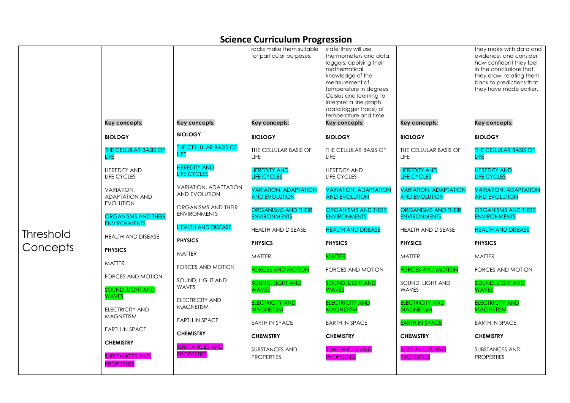|           |                                                                |                                             | rocks make them suitable<br>for particular purposes. | state they will use<br>thermometers and data<br>loggers, applying their<br>mathematical<br>knowledge of the<br>measurement of<br>temperature in degrees<br>Celsius and learning to<br>interpret a line graph<br>(data logger trace) of<br>temperature and time. |                                                      | they make with data and<br>evidence, and consider<br>how confident they feel<br>in the conclusions that<br>they draw, relating them<br>back to predictions that<br>they have made earlier. |
|-----------|----------------------------------------------------------------|---------------------------------------------|------------------------------------------------------|-----------------------------------------------------------------------------------------------------------------------------------------------------------------------------------------------------------------------------------------------------------------|------------------------------------------------------|--------------------------------------------------------------------------------------------------------------------------------------------------------------------------------------------|
|           | Key concepts:                                                  | Key concepts:                               | Key concepts:                                        | Key concepts:                                                                                                                                                                                                                                                   | Key concepts:                                        | Key concepts:                                                                                                                                                                              |
|           | <b>BIOLOGY</b>                                                 | <b>BIOLOGY</b>                              | <b>BIOLOGY</b>                                       | <b>BIOLOGY</b>                                                                                                                                                                                                                                                  | <b>BIOLOGY</b>                                       | <b>BIOLOGY</b>                                                                                                                                                                             |
|           | THE CELLULAR BASIS OF<br>LIFE                                  | THE CELLULAR BASIS OF<br><b>LIFE</b>        | THE CELLULAR BASIS OF<br>LIFE                        | THE CELLULAR BASIS OF<br><b>LIFE</b>                                                                                                                                                                                                                            | THE CELLULAR BASIS OF<br>LIFE                        | <b>THE CELLULAR BASIS OF</b><br><b>LIFE</b>                                                                                                                                                |
|           | <b>HEREDITY AND</b><br>LIFE CYCLES                             | <b>HEREDITY AND</b><br><b>LIFE CYCLES</b>   | <b>HEREDITY AND</b><br><b>LIFE CYCLES</b>            | <b>HEREDITY AND</b><br><b>LIFE CYCLES</b>                                                                                                                                                                                                                       | <b>HEREDITY AND</b><br><b>LIFE CYCLES</b>            | <b>HEREDITY AND</b><br><b>LIFE CYCLES</b>                                                                                                                                                  |
|           | VARIATION,<br><b>ADAPTATION AND</b><br><b>EVOLUTION</b>        | VARIATION, ADAPTATION<br>AND EVOLUTION      | <b>VARIATION, ADAPTATION</b><br><b>AND EVOLUTION</b> | <b>VARIATION, ADAPTATION</b><br><b>AND EVOLUTION</b>                                                                                                                                                                                                            | <b>VARIATION, ADAPTATION</b><br><b>AND EVOLUTION</b> | <b>VARIATION, ADAPTATION</b><br><b>AND EVOLUTION</b>                                                                                                                                       |
|           | <b>ORGANISMS AND THEIR</b><br><b>ENVIRONMENTS</b>              | ORGANISMS AND THEIR<br><b>ENVIRONMENTS</b>  | <b>ORGANISMS AND THEIR</b><br><b>ENVIRONMENTS</b>    | <b>ORGANISMS AND THEIR</b><br><b>ENVIRONMENTS</b>                                                                                                                                                                                                               | <b>ORGANISMS AND THEIR</b><br><b>ENVIRONMENTS</b>    | <b>ORGANISMS AND THEIR</b><br><b>ENVIRONMENTS</b>                                                                                                                                          |
| Threshold | <b>HEALTH AND DISEASE</b>                                      | <b>HEALTH AND DISEASE</b><br><b>PHYSICS</b> | <b>HEALTH AND DISEASE</b>                            | <b>HEALTH AND DISEASE</b><br><b>PHYSICS</b>                                                                                                                                                                                                                     | HEALTH AND DISEASE<br><b>PHYSICS</b>                 | <b>HEALTH AND DISEASE</b><br><b>PHYSICS</b>                                                                                                                                                |
| Concepts  | <b>PHYSICS</b>                                                 | MATTER                                      | <b>PHYSICS</b><br><b>MATTER</b>                      | <b>MATTER</b>                                                                                                                                                                                                                                                   | <b>MATTER</b>                                        | <b>MATTER</b>                                                                                                                                                                              |
|           | <b>MATTER</b>                                                  | <b>FORCES AND MOTION</b>                    | <b>FORCES AND MOTION</b>                             | FORCES AND MOTION                                                                                                                                                                                                                                               | <b>FORCES AND MOTION</b>                             | FORCES AND MOTION                                                                                                                                                                          |
|           | FORCES AND MOTION<br><b>SOUND, LIGHT AND</b>                   | SOUND, LIGHT AND<br><b>WAVES</b>            | <b>SOUND, LIGHT AND</b><br><b>WAVES</b>              | <b>SOUND, LIGHT AND</b><br><b>WAVES</b>                                                                                                                                                                                                                         | SOUND, LIGHT AND<br><b>WAVES</b>                     | <b>SOUND, LIGHT AND</b><br><b>WAVES</b>                                                                                                                                                    |
|           | <b>WAVES</b><br><b>ELECTRICITY AND</b>                         | <b>ELECTRICITY AND</b><br><b>MAGNETISM</b>  | <b>ELECTRICITY AND</b><br><b>MAGNETISM</b>           | <b>ELECTRICITY AND</b><br><b>MAGNETISM</b>                                                                                                                                                                                                                      | <b>ELECTRICITY AND</b><br><b>MAGNETISM</b>           | <b>ELECTRICITY AND</b><br><b>MAGNETISM</b>                                                                                                                                                 |
|           | <b>MAGNETISM</b><br><b>EARTH IN SPACE</b>                      | <b>EARTH IN SPACE</b>                       | <b>EARTH IN SPACE</b>                                | <b>EARTH IN SPACE</b>                                                                                                                                                                                                                                           | <b>EARTH IN SPACE</b>                                | <b>EARTH IN SPACE</b>                                                                                                                                                                      |
|           |                                                                | <b>CHEMISTRY</b>                            | <b>CHEMISTRY</b>                                     | <b>CHEMISTRY</b>                                                                                                                                                                                                                                                | <b>CHEMISTRY</b>                                     | <b>CHEMISTRY</b>                                                                                                                                                                           |
|           | <b>CHEMISTRY</b><br><b>SUBSTANCES AND</b><br><b>PROPERTIES</b> | <b>SUBSTANCES AND</b><br><b>PROPERTIES</b>  | SUBSTANCES AND<br><b>PROPERTIES</b>                  | <b>SUBSTANCES AND</b><br><b>PROPERTIES</b>                                                                                                                                                                                                                      | <b>SUBSTANCES AND</b><br><b>PROPERTIES</b>           | <b>SUBSTANCES AND</b><br><b>PROPERTIES</b>                                                                                                                                                 |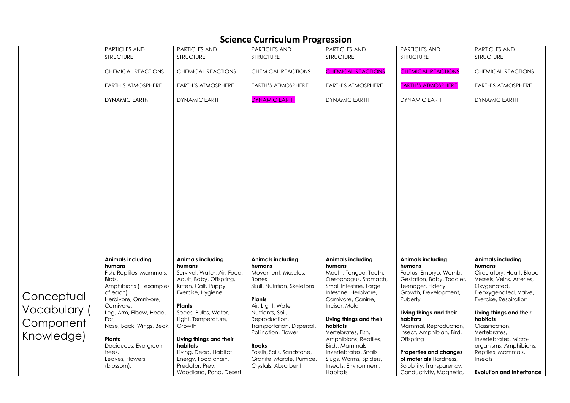|              |                           |                             | Science Curriculum Frogression |                           |                               |                                  |
|--------------|---------------------------|-----------------------------|--------------------------------|---------------------------|-------------------------------|----------------------------------|
|              | <b>PARTICLES AND</b>      | <b>PARTICLES AND</b>        | <b>PARTICLES AND</b>           | <b>PARTICLES AND</b>      | PARTICLES AND                 | <b>PARTICLES AND</b>             |
|              | <b>STRUCTURE</b>          | <b>STRUCTURE</b>            | <b>STRUCTURE</b>               | <b>STRUCTURE</b>          | <b>STRUCTURE</b>              | <b>STRUCTURE</b>                 |
|              |                           |                             |                                |                           |                               |                                  |
|              | <b>CHEMICAL REACTIONS</b> | CHEMICAL REACTIONS          | CHEMICAL REACTIONS             | <b>CHEMICAL REACTIONS</b> | <b>CHEMICAL REACTIONS</b>     | CHEMICAL REACTIONS               |
|              |                           |                             |                                |                           |                               |                                  |
|              |                           |                             |                                |                           |                               |                                  |
|              | EARTH'S ATMOSPHERE        | EARTH'S ATMOSPHERE          | EARTH'S ATMOSPHERE             | EARTH'S ATMOSPHERE        | <b>EARTH'S ATMOSPHERE</b>     | EARTH'S ATMOSPHERE               |
|              |                           |                             |                                |                           |                               |                                  |
|              | <b>DYNAMIC EARTH</b>      | <b>DYNAMIC EARTH</b>        | <b>DYNAMIC EARTH</b>           | DYNAMIC EARTH             | <b>DYNAMIC EARTH</b>          | <b>DYNAMIC EARTH</b>             |
|              |                           |                             |                                |                           |                               |                                  |
|              |                           |                             |                                |                           |                               |                                  |
|              |                           |                             |                                |                           |                               |                                  |
|              |                           |                             |                                |                           |                               |                                  |
|              |                           |                             |                                |                           |                               |                                  |
|              |                           |                             |                                |                           |                               |                                  |
|              |                           |                             |                                |                           |                               |                                  |
|              |                           |                             |                                |                           |                               |                                  |
|              |                           |                             |                                |                           |                               |                                  |
|              |                           |                             |                                |                           |                               |                                  |
|              |                           |                             |                                |                           |                               |                                  |
|              |                           |                             |                                |                           |                               |                                  |
|              |                           |                             |                                |                           |                               |                                  |
|              |                           |                             |                                |                           |                               |                                  |
|              |                           |                             |                                |                           |                               |                                  |
|              |                           |                             |                                |                           |                               |                                  |
|              |                           |                             |                                |                           |                               |                                  |
|              |                           |                             |                                |                           |                               |                                  |
|              |                           |                             |                                |                           |                               |                                  |
|              |                           |                             |                                |                           |                               |                                  |
|              |                           |                             |                                |                           |                               |                                  |
|              |                           |                             |                                |                           |                               |                                  |
|              |                           |                             |                                |                           |                               |                                  |
|              |                           |                             |                                |                           |                               |                                  |
|              | <b>Animals including</b>  | <b>Animals including</b>    | <b>Animals including</b>       | <b>Animals including</b>  | <b>Animals including</b>      | <b>Animals including</b>         |
|              | humans                    | humans                      | humans                         | humans                    | humans                        | humans                           |
|              | Fish, Reptiles, Mammals,  | Survival, Water, Air, Food, | Movement, Muscles,             | Mouth, Tongue, Teeth,     | Foetus, Embryo, Womb,         | Circulatory, Heart, Blood        |
|              | Birds.                    | Adult, Baby, Offspring,     | Bones,                         | Oesophagus, Stomach,      | Gestation, Baby, Toddler,     | Vessels, Veins, Arteries,        |
|              | Amphibians (+ examples    | Kitten, Calf, Puppy,        | Skull, Nutrition, Skeletons    | Small Intestine, Large    | Teenager, Elderly,            | Oxygenated,                      |
|              | of each)                  | Exercise, Hygiene           |                                | Intestine, Herbivore,     | Growth, Development,          | Deoxygenated, Valve,             |
| Conceptual   | Herbivore, Omnivore,      |                             | <b>Plants</b>                  | Carnivore, Canine,        | Puberty                       | Exercise, Respiration            |
|              | Carnivore,                | <b>Plants</b>               | Air, Light, Water,             | Incisor, Molar            |                               |                                  |
| Vocabulary ( | Leg, Arm, Elbow, Head,    | Seeds, Bulbs, Water,        | Nutrients, Soil,               |                           | Living things and their       | Living things and their          |
|              | Ear,                      | Light, Temperature,         | Reproduction,                  | Living things and their   | habitats                      | habitats                         |
| Component    | Nose, Back, Wings, Beak   | Growth                      | Transportation, Dispersal,     | habitats                  | Mammal, Reproduction,         | Classification,                  |
|              |                           |                             | Pollination, Flower            | Vertebrates, Fish,        | Insect, Amphibian, Bird,      | Vertebrates,                     |
| Knowledge)   | <b>Plants</b>             | Living things and their     |                                | Amphibians, Reptiles,     | Offspring                     | Invertebrates, Micro-            |
|              |                           | habitats                    |                                |                           |                               |                                  |
|              | Deciduous, Evergreen      |                             | Rocks                          | Birds, Mammals,           |                               | organisms, Amphibians,           |
|              | trees,                    | Living, Dead, Habitat,      | Fossils, Soils, Sandstone,     | Invertebrates, Snails,    | <b>Properties and changes</b> | Reptiles, Mammals,               |
|              | Leaves, Flowers           | Energy, Food chain,         | Granite, Marble, Pumice,       | Slugs, Worms, Spiders,    | of materials Hardness,        | <b>Insects</b>                   |
|              | (blossom),                | Predator, Prey,             | Crystals, Absorbent            | Insects, Environment,     | Solubility, Transparency,     |                                  |
|              |                           | Woodland, Pond, Desert      |                                | Habitats                  | Conductivity, Magnetic,       | <b>Evolution and Inheritance</b> |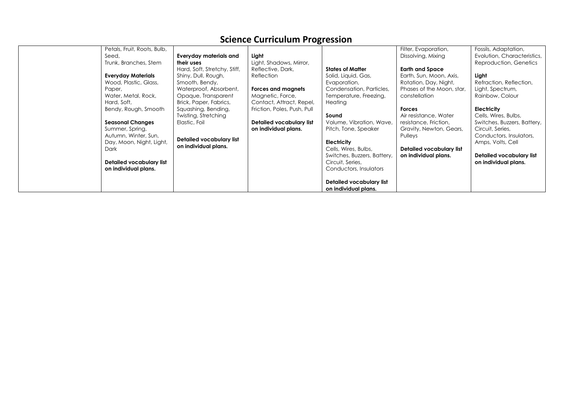| Petals, Fruit, Roots, Bulb,<br>Seed,<br>Trunk, Branches, Stem<br><b>Everyday Materials</b><br>Wood, Plastic, Glass,<br>Paper,<br>Water, Metal, Rock,<br>Hard, Soft,<br>Bendy, Rough, Smooth<br><b>Seasonal Changes</b><br>Summer, Spring,<br>Autumn, Winter, Sun,<br>Day, Moon, Night, Light,<br>Dark<br>Detailed vocabulary list<br>on individual plans. | <b>Everyday materials and</b><br>their uses<br>Hard, Soft, Stretchy, Stiff,<br>Shiny, Dull, Rough,<br>Smooth, Bendy,<br>Waterproof, Absorbent,<br>Opaque, Transparent<br>Brick, Paper, Fabrics,<br>Squashing, Bending,<br>Twisting, Stretching<br>Elastic, Foil<br>Detailed vocabulary list<br>on individual plans. | ັ<br>Light<br>Light, Shadows, Mirror,<br>Reflective, Dark,<br>Reflection<br>Forces and magnets<br>Magnetic, Force,<br>Contact, Attract, Repel,<br>Friction, Poles, Push, Pull<br>Detailed vocabulary list<br>on individual plans. | <b>States of Matter</b><br>Solid, Liquid, Gas,<br>Evaporation,<br>Condensation, Particles,<br>Temperature, Freezing,<br>Heating<br>Sound<br>Volume, Vibration, Wave,<br>Pitch, Tone, Speaker<br><b>Electricity</b><br>Cells, Wires, Bulbs,<br>Switches, Buzzers, Battery,<br>Circuit, Series,<br>Conductors, Insulators<br>Detailed vocabulary list | Filter, Evaporation,<br>Dissolving, Mixing<br><b>Earth and Space</b><br>Earth, Sun, Moon, Axis,<br>Rotation, Day, Night,<br>Phases of the Moon, star,<br>constellation<br><b>Forces</b><br>Air resistance, Water<br>resistance, Friction,<br>Gravity, Newton, Gears,<br>Pulleys<br>Detailed vocabulary list<br>on individual plans. | Fossils, Adaptation,<br>Evolution, Characteristics,<br>Reproduction, Genetics<br>Light<br>Refraction, Reflection,<br>Light, Spectrum,<br>Rainbow, Colour<br>Electricity<br>Cells, Wires, Bulbs,<br>Switches, Buzzers, Battery,<br>Circuit, Series,<br>Conductors, Insulators,<br>Amps, Volts, Cell<br>Detailed vocabulary list<br>on individual plans. |
|-----------------------------------------------------------------------------------------------------------------------------------------------------------------------------------------------------------------------------------------------------------------------------------------------------------------------------------------------------------|---------------------------------------------------------------------------------------------------------------------------------------------------------------------------------------------------------------------------------------------------------------------------------------------------------------------|-----------------------------------------------------------------------------------------------------------------------------------------------------------------------------------------------------------------------------------|-----------------------------------------------------------------------------------------------------------------------------------------------------------------------------------------------------------------------------------------------------------------------------------------------------------------------------------------------------|-------------------------------------------------------------------------------------------------------------------------------------------------------------------------------------------------------------------------------------------------------------------------------------------------------------------------------------|--------------------------------------------------------------------------------------------------------------------------------------------------------------------------------------------------------------------------------------------------------------------------------------------------------------------------------------------------------|
|                                                                                                                                                                                                                                                                                                                                                           |                                                                                                                                                                                                                                                                                                                     |                                                                                                                                                                                                                                   | on individual plans.                                                                                                                                                                                                                                                                                                                                |                                                                                                                                                                                                                                                                                                                                     |                                                                                                                                                                                                                                                                                                                                                        |
|                                                                                                                                                                                                                                                                                                                                                           |                                                                                                                                                                                                                                                                                                                     |                                                                                                                                                                                                                                   |                                                                                                                                                                                                                                                                                                                                                     |                                                                                                                                                                                                                                                                                                                                     |                                                                                                                                                                                                                                                                                                                                                        |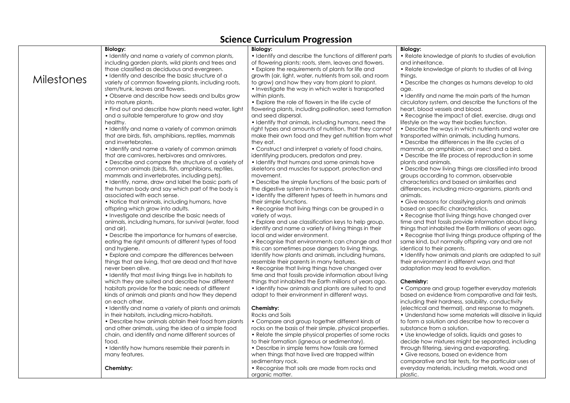| <b>Biology:</b><br><b>Biology:</b><br><b>Biology:</b><br>• Relate knowledge of plants to studies of evolution<br>• Identify and name a variety of common plants,<br>• Identify and describe the functions of different parts<br>including garden plants, wild plants and trees and<br>of flowering plants: roots, stem, leaves and flowers.<br>and inheritance.<br>those classified as deciduous and evergreen.<br>• Explore the requirements of plants for life and<br>• Relate knowledge of plants to studies of all living<br>• Identify and describe the basic structure of a<br>growth (air, light, water, nutrients from soil, and room<br>things.<br><b>Milestones</b><br>variety of common flowering plants, including roots,<br>to grow) and how they vary from plant to plant.<br>• Describe the changes as humans develop to old<br>stem/trunk, leaves and flowers.<br>• Investigate the way in which water is transported<br>age.<br>• Observe and describe how seeds and bulbs grow<br>within plants.<br>• Identify and name the main parts of the human<br>into mature plants.<br>• Explore the role of flowers in the life cycle of<br>circulatory system, and describe the functions of the<br>• Find out and describe how plants need water, light<br>flowering plants, including pollination, seed formation<br>heart, blood vessels and blood.<br>and a suitable temperature to grow and stay<br>and seed dispersal.<br>• Recognise the impact of diet, exercise, drugs and<br>healthy.<br>• Identify that animals, including humans, need the<br>lifestyle on the way their bodies function.<br>• Identify and name a variety of common animals<br>right types and amounts of nutrition, that they cannot<br>• Describe the ways in which nutrients and water are<br>that are birds, fish, amphibians, reptiles, mammals<br>make their own food and they get nutrition from what<br>transported within animals, including humans.<br>and invertebrates.<br>they eat.<br>• Describe the differences in the life cycles of a<br>• Identify and name a variety of common animals<br>• Construct and interpret a variety of food chains,<br>mammal, an amphibian, an insect and a bird.<br>that are carnivores, herbivores and omnivores.<br>identifying producers, predators and prey.<br>• Describe the life process of reproduction in some<br>• Identify that humans and some animals have<br>plants and animals.<br>• Describe and compare the structure of a variety of<br>• Describe how living things are classified into broad<br>common animals (birds, fish, amphibians, reptiles,<br>skeletons and muscles for support, protection and<br>mammals and invertebrates, including pets).<br>movement.<br>groups according to common, observable<br>• Identify, name, draw and label the basic parts of<br>• Describe the simple functions of the basic parts of<br>characteristics and based on similarities and<br>the human body and say which part of the body is<br>the digestive system in humans.<br>differences, including micro-organisms, plants and<br>associated with each sense.<br>• Identify the different types of teeth in humans and<br>animals.<br>• Notice that animals, including humans, have<br>• Give reasons for classifying plants and animals<br>their simple functions.<br>based on specific characteristics.<br>offspring which grow into adults.<br>• Recognise that living things can be grouped in a<br>• Investigate and describe the basic needs of<br>variety of ways.<br>• Recognise that living things have changed over<br>animals, including humans, for survival (water, food<br>• Explore and use classification keys to help group,<br>time and that fossils provide information about living<br>identify and name a variety of living things in their<br>things that inhabited the Earth millions of years ago.<br>and air).<br>local and wider environment.<br>• Recognise that living things produce offspring of the<br>• Describe the importance for humans of exercise,<br>eating the right amounts of different types of food<br>• Recognise that environments can change and that<br>same kind, but normally offspring vary and are not<br>this can sometimes pose dangers to living things.<br>identical to their parents.<br>and hygiene.<br>• Explore and compare the differences between<br>Identify how plants and animals, including humans,<br>• Identify how animals and plants are adapted to suit<br>things that are living, that are dead and that have<br>resemble their parents in many features.<br>their environment in different ways and that<br>never been alive.<br>• Recognise that living things have changed over<br>adaptation may lead to evolution.<br>time and that fossils provide information about living<br>• Identify that most living things live in habitats to<br>which they are suited and describe how different<br>things that inhabited the Earth millions of years ago.<br>Chemistry:<br>habitats provide for the basic needs of different<br>• Identify how animals and plants are suited to and<br>• Compare and group together everyday materials<br>kinds of animals and plants and how they depend<br>adapt to their environment in different ways.<br>based on evidence from comparative and fair tests,<br>on each other.<br>including their hardness, solubility, conductivity<br>• Identify and name a variety of plants and animals<br>Chemistry:<br>(electrical and thermal), and response to magnets.<br>in their habitats, including micro-habitats.<br>Rocks and Soils<br>• Understand how some materials will dissolve in liquid<br>• Describe how animals obtain their food from plants<br>• Compare and group together different kinds of<br>to form a solution and describe how to recover a<br>and other animals, using the idea of a simple food<br>substance from a solution.<br>rocks on the basis of their simple, physical properties.<br>chain, and identify and name different sources of<br>• Relate the simple physical properties of some rocks<br>• Use knowledge of solids, liquids and gases to<br>to their formation (igneous or sedimentary).<br>food.<br>decide how mixtures might be separated, including<br>• Identify how humans resemble their parents in<br>• Describe in simple terms how fossils are formed<br>through filtering, sieving and evaporating.<br>many features.<br>when things that have lived are trapped within<br>• Give reasons, based on evidence from<br>sedimentary rock.<br>comparative and fair tests, for the particular uses of<br>• Recognise that soils are made from rocks and<br>everyday materials, including metals, wood and<br>Chemistry:<br>organic matter.<br>plastic. |  | science carricaium i rogressioni |  |
|---------------------------------------------------------------------------------------------------------------------------------------------------------------------------------------------------------------------------------------------------------------------------------------------------------------------------------------------------------------------------------------------------------------------------------------------------------------------------------------------------------------------------------------------------------------------------------------------------------------------------------------------------------------------------------------------------------------------------------------------------------------------------------------------------------------------------------------------------------------------------------------------------------------------------------------------------------------------------------------------------------------------------------------------------------------------------------------------------------------------------------------------------------------------------------------------------------------------------------------------------------------------------------------------------------------------------------------------------------------------------------------------------------------------------------------------------------------------------------------------------------------------------------------------------------------------------------------------------------------------------------------------------------------------------------------------------------------------------------------------------------------------------------------------------------------------------------------------------------------------------------------------------------------------------------------------------------------------------------------------------------------------------------------------------------------------------------------------------------------------------------------------------------------------------------------------------------------------------------------------------------------------------------------------------------------------------------------------------------------------------------------------------------------------------------------------------------------------------------------------------------------------------------------------------------------------------------------------------------------------------------------------------------------------------------------------------------------------------------------------------------------------------------------------------------------------------------------------------------------------------------------------------------------------------------------------------------------------------------------------------------------------------------------------------------------------------------------------------------------------------------------------------------------------------------------------------------------------------------------------------------------------------------------------------------------------------------------------------------------------------------------------------------------------------------------------------------------------------------------------------------------------------------------------------------------------------------------------------------------------------------------------------------------------------------------------------------------------------------------------------------------------------------------------------------------------------------------------------------------------------------------------------------------------------------------------------------------------------------------------------------------------------------------------------------------------------------------------------------------------------------------------------------------------------------------------------------------------------------------------------------------------------------------------------------------------------------------------------------------------------------------------------------------------------------------------------------------------------------------------------------------------------------------------------------------------------------------------------------------------------------------------------------------------------------------------------------------------------------------------------------------------------------------------------------------------------------------------------------------------------------------------------------------------------------------------------------------------------------------------------------------------------------------------------------------------------------------------------------------------------------------------------------------------------------------------------------------------------------------------------------------------------------------------------------------------------------------------------------------------------------------------------------------------------------------------------------------------------------------------------------------------------------------------------------------------------------------------------------------------------------------------------------------------------------------------------------------------------------------------------------------------------------------------------------------------------------------------------------------------------------------------------------------------------------------------------------------------------------------------------------------------------------------------------------------------------------------------------------------------------------------------------------------------------------------------------------------------------------------------------------------------------------------------------------------------------------------------------------------------------------------------------------------------------------------------------------------------------------------------------------------------------------------------------------------------------------------------------------------------------------------------------------------------------------------------------------------------------------------------------------------------|--|----------------------------------|--|
|                                                                                                                                                                                                                                                                                                                                                                                                                                                                                                                                                                                                                                                                                                                                                                                                                                                                                                                                                                                                                                                                                                                                                                                                                                                                                                                                                                                                                                                                                                                                                                                                                                                                                                                                                                                                                                                                                                                                                                                                                                                                                                                                                                                                                                                                                                                                                                                                                                                                                                                                                                                                                                                                                                                                                                                                                                                                                                                                                                                                                                                                                                                                                                                                                                                                                                                                                                                                                                                                                                                                                                                                                                                                                                                                                                                                                                                                                                                                                                                                                                                                                                                                                                                                                                                                                                                                                                                                                                                                                                                                                                                                                                                                                                                                                                                                                                                                                                                                                                                                                                                                                                                                                                                                                                                                                                                                                                                                                                                                                                                                                                                                                                                                                                                                                                                                                                                                                                                                                                                                                                                                                                                                                                                                                                                                                                                                                                                                                                                                                                                                                                                                                                                                                                                                                                     |  |                                  |  |
|                                                                                                                                                                                                                                                                                                                                                                                                                                                                                                                                                                                                                                                                                                                                                                                                                                                                                                                                                                                                                                                                                                                                                                                                                                                                                                                                                                                                                                                                                                                                                                                                                                                                                                                                                                                                                                                                                                                                                                                                                                                                                                                                                                                                                                                                                                                                                                                                                                                                                                                                                                                                                                                                                                                                                                                                                                                                                                                                                                                                                                                                                                                                                                                                                                                                                                                                                                                                                                                                                                                                                                                                                                                                                                                                                                                                                                                                                                                                                                                                                                                                                                                                                                                                                                                                                                                                                                                                                                                                                                                                                                                                                                                                                                                                                                                                                                                                                                                                                                                                                                                                                                                                                                                                                                                                                                                                                                                                                                                                                                                                                                                                                                                                                                                                                                                                                                                                                                                                                                                                                                                                                                                                                                                                                                                                                                                                                                                                                                                                                                                                                                                                                                                                                                                                                                     |  |                                  |  |
|                                                                                                                                                                                                                                                                                                                                                                                                                                                                                                                                                                                                                                                                                                                                                                                                                                                                                                                                                                                                                                                                                                                                                                                                                                                                                                                                                                                                                                                                                                                                                                                                                                                                                                                                                                                                                                                                                                                                                                                                                                                                                                                                                                                                                                                                                                                                                                                                                                                                                                                                                                                                                                                                                                                                                                                                                                                                                                                                                                                                                                                                                                                                                                                                                                                                                                                                                                                                                                                                                                                                                                                                                                                                                                                                                                                                                                                                                                                                                                                                                                                                                                                                                                                                                                                                                                                                                                                                                                                                                                                                                                                                                                                                                                                                                                                                                                                                                                                                                                                                                                                                                                                                                                                                                                                                                                                                                                                                                                                                                                                                                                                                                                                                                                                                                                                                                                                                                                                                                                                                                                                                                                                                                                                                                                                                                                                                                                                                                                                                                                                                                                                                                                                                                                                                                                     |  |                                  |  |
|                                                                                                                                                                                                                                                                                                                                                                                                                                                                                                                                                                                                                                                                                                                                                                                                                                                                                                                                                                                                                                                                                                                                                                                                                                                                                                                                                                                                                                                                                                                                                                                                                                                                                                                                                                                                                                                                                                                                                                                                                                                                                                                                                                                                                                                                                                                                                                                                                                                                                                                                                                                                                                                                                                                                                                                                                                                                                                                                                                                                                                                                                                                                                                                                                                                                                                                                                                                                                                                                                                                                                                                                                                                                                                                                                                                                                                                                                                                                                                                                                                                                                                                                                                                                                                                                                                                                                                                                                                                                                                                                                                                                                                                                                                                                                                                                                                                                                                                                                                                                                                                                                                                                                                                                                                                                                                                                                                                                                                                                                                                                                                                                                                                                                                                                                                                                                                                                                                                                                                                                                                                                                                                                                                                                                                                                                                                                                                                                                                                                                                                                                                                                                                                                                                                                                                     |  |                                  |  |
|                                                                                                                                                                                                                                                                                                                                                                                                                                                                                                                                                                                                                                                                                                                                                                                                                                                                                                                                                                                                                                                                                                                                                                                                                                                                                                                                                                                                                                                                                                                                                                                                                                                                                                                                                                                                                                                                                                                                                                                                                                                                                                                                                                                                                                                                                                                                                                                                                                                                                                                                                                                                                                                                                                                                                                                                                                                                                                                                                                                                                                                                                                                                                                                                                                                                                                                                                                                                                                                                                                                                                                                                                                                                                                                                                                                                                                                                                                                                                                                                                                                                                                                                                                                                                                                                                                                                                                                                                                                                                                                                                                                                                                                                                                                                                                                                                                                                                                                                                                                                                                                                                                                                                                                                                                                                                                                                                                                                                                                                                                                                                                                                                                                                                                                                                                                                                                                                                                                                                                                                                                                                                                                                                                                                                                                                                                                                                                                                                                                                                                                                                                                                                                                                                                                                                                     |  |                                  |  |
|                                                                                                                                                                                                                                                                                                                                                                                                                                                                                                                                                                                                                                                                                                                                                                                                                                                                                                                                                                                                                                                                                                                                                                                                                                                                                                                                                                                                                                                                                                                                                                                                                                                                                                                                                                                                                                                                                                                                                                                                                                                                                                                                                                                                                                                                                                                                                                                                                                                                                                                                                                                                                                                                                                                                                                                                                                                                                                                                                                                                                                                                                                                                                                                                                                                                                                                                                                                                                                                                                                                                                                                                                                                                                                                                                                                                                                                                                                                                                                                                                                                                                                                                                                                                                                                                                                                                                                                                                                                                                                                                                                                                                                                                                                                                                                                                                                                                                                                                                                                                                                                                                                                                                                                                                                                                                                                                                                                                                                                                                                                                                                                                                                                                                                                                                                                                                                                                                                                                                                                                                                                                                                                                                                                                                                                                                                                                                                                                                                                                                                                                                                                                                                                                                                                                                                     |  |                                  |  |
|                                                                                                                                                                                                                                                                                                                                                                                                                                                                                                                                                                                                                                                                                                                                                                                                                                                                                                                                                                                                                                                                                                                                                                                                                                                                                                                                                                                                                                                                                                                                                                                                                                                                                                                                                                                                                                                                                                                                                                                                                                                                                                                                                                                                                                                                                                                                                                                                                                                                                                                                                                                                                                                                                                                                                                                                                                                                                                                                                                                                                                                                                                                                                                                                                                                                                                                                                                                                                                                                                                                                                                                                                                                                                                                                                                                                                                                                                                                                                                                                                                                                                                                                                                                                                                                                                                                                                                                                                                                                                                                                                                                                                                                                                                                                                                                                                                                                                                                                                                                                                                                                                                                                                                                                                                                                                                                                                                                                                                                                                                                                                                                                                                                                                                                                                                                                                                                                                                                                                                                                                                                                                                                                                                                                                                                                                                                                                                                                                                                                                                                                                                                                                                                                                                                                                                     |  |                                  |  |
|                                                                                                                                                                                                                                                                                                                                                                                                                                                                                                                                                                                                                                                                                                                                                                                                                                                                                                                                                                                                                                                                                                                                                                                                                                                                                                                                                                                                                                                                                                                                                                                                                                                                                                                                                                                                                                                                                                                                                                                                                                                                                                                                                                                                                                                                                                                                                                                                                                                                                                                                                                                                                                                                                                                                                                                                                                                                                                                                                                                                                                                                                                                                                                                                                                                                                                                                                                                                                                                                                                                                                                                                                                                                                                                                                                                                                                                                                                                                                                                                                                                                                                                                                                                                                                                                                                                                                                                                                                                                                                                                                                                                                                                                                                                                                                                                                                                                                                                                                                                                                                                                                                                                                                                                                                                                                                                                                                                                                                                                                                                                                                                                                                                                                                                                                                                                                                                                                                                                                                                                                                                                                                                                                                                                                                                                                                                                                                                                                                                                                                                                                                                                                                                                                                                                                                     |  |                                  |  |
|                                                                                                                                                                                                                                                                                                                                                                                                                                                                                                                                                                                                                                                                                                                                                                                                                                                                                                                                                                                                                                                                                                                                                                                                                                                                                                                                                                                                                                                                                                                                                                                                                                                                                                                                                                                                                                                                                                                                                                                                                                                                                                                                                                                                                                                                                                                                                                                                                                                                                                                                                                                                                                                                                                                                                                                                                                                                                                                                                                                                                                                                                                                                                                                                                                                                                                                                                                                                                                                                                                                                                                                                                                                                                                                                                                                                                                                                                                                                                                                                                                                                                                                                                                                                                                                                                                                                                                                                                                                                                                                                                                                                                                                                                                                                                                                                                                                                                                                                                                                                                                                                                                                                                                                                                                                                                                                                                                                                                                                                                                                                                                                                                                                                                                                                                                                                                                                                                                                                                                                                                                                                                                                                                                                                                                                                                                                                                                                                                                                                                                                                                                                                                                                                                                                                                                     |  |                                  |  |
|                                                                                                                                                                                                                                                                                                                                                                                                                                                                                                                                                                                                                                                                                                                                                                                                                                                                                                                                                                                                                                                                                                                                                                                                                                                                                                                                                                                                                                                                                                                                                                                                                                                                                                                                                                                                                                                                                                                                                                                                                                                                                                                                                                                                                                                                                                                                                                                                                                                                                                                                                                                                                                                                                                                                                                                                                                                                                                                                                                                                                                                                                                                                                                                                                                                                                                                                                                                                                                                                                                                                                                                                                                                                                                                                                                                                                                                                                                                                                                                                                                                                                                                                                                                                                                                                                                                                                                                                                                                                                                                                                                                                                                                                                                                                                                                                                                                                                                                                                                                                                                                                                                                                                                                                                                                                                                                                                                                                                                                                                                                                                                                                                                                                                                                                                                                                                                                                                                                                                                                                                                                                                                                                                                                                                                                                                                                                                                                                                                                                                                                                                                                                                                                                                                                                                                     |  |                                  |  |
|                                                                                                                                                                                                                                                                                                                                                                                                                                                                                                                                                                                                                                                                                                                                                                                                                                                                                                                                                                                                                                                                                                                                                                                                                                                                                                                                                                                                                                                                                                                                                                                                                                                                                                                                                                                                                                                                                                                                                                                                                                                                                                                                                                                                                                                                                                                                                                                                                                                                                                                                                                                                                                                                                                                                                                                                                                                                                                                                                                                                                                                                                                                                                                                                                                                                                                                                                                                                                                                                                                                                                                                                                                                                                                                                                                                                                                                                                                                                                                                                                                                                                                                                                                                                                                                                                                                                                                                                                                                                                                                                                                                                                                                                                                                                                                                                                                                                                                                                                                                                                                                                                                                                                                                                                                                                                                                                                                                                                                                                                                                                                                                                                                                                                                                                                                                                                                                                                                                                                                                                                                                                                                                                                                                                                                                                                                                                                                                                                                                                                                                                                                                                                                                                                                                                                                     |  |                                  |  |
|                                                                                                                                                                                                                                                                                                                                                                                                                                                                                                                                                                                                                                                                                                                                                                                                                                                                                                                                                                                                                                                                                                                                                                                                                                                                                                                                                                                                                                                                                                                                                                                                                                                                                                                                                                                                                                                                                                                                                                                                                                                                                                                                                                                                                                                                                                                                                                                                                                                                                                                                                                                                                                                                                                                                                                                                                                                                                                                                                                                                                                                                                                                                                                                                                                                                                                                                                                                                                                                                                                                                                                                                                                                                                                                                                                                                                                                                                                                                                                                                                                                                                                                                                                                                                                                                                                                                                                                                                                                                                                                                                                                                                                                                                                                                                                                                                                                                                                                                                                                                                                                                                                                                                                                                                                                                                                                                                                                                                                                                                                                                                                                                                                                                                                                                                                                                                                                                                                                                                                                                                                                                                                                                                                                                                                                                                                                                                                                                                                                                                                                                                                                                                                                                                                                                                                     |  |                                  |  |
|                                                                                                                                                                                                                                                                                                                                                                                                                                                                                                                                                                                                                                                                                                                                                                                                                                                                                                                                                                                                                                                                                                                                                                                                                                                                                                                                                                                                                                                                                                                                                                                                                                                                                                                                                                                                                                                                                                                                                                                                                                                                                                                                                                                                                                                                                                                                                                                                                                                                                                                                                                                                                                                                                                                                                                                                                                                                                                                                                                                                                                                                                                                                                                                                                                                                                                                                                                                                                                                                                                                                                                                                                                                                                                                                                                                                                                                                                                                                                                                                                                                                                                                                                                                                                                                                                                                                                                                                                                                                                                                                                                                                                                                                                                                                                                                                                                                                                                                                                                                                                                                                                                                                                                                                                                                                                                                                                                                                                                                                                                                                                                                                                                                                                                                                                                                                                                                                                                                                                                                                                                                                                                                                                                                                                                                                                                                                                                                                                                                                                                                                                                                                                                                                                                                                                                     |  |                                  |  |
|                                                                                                                                                                                                                                                                                                                                                                                                                                                                                                                                                                                                                                                                                                                                                                                                                                                                                                                                                                                                                                                                                                                                                                                                                                                                                                                                                                                                                                                                                                                                                                                                                                                                                                                                                                                                                                                                                                                                                                                                                                                                                                                                                                                                                                                                                                                                                                                                                                                                                                                                                                                                                                                                                                                                                                                                                                                                                                                                                                                                                                                                                                                                                                                                                                                                                                                                                                                                                                                                                                                                                                                                                                                                                                                                                                                                                                                                                                                                                                                                                                                                                                                                                                                                                                                                                                                                                                                                                                                                                                                                                                                                                                                                                                                                                                                                                                                                                                                                                                                                                                                                                                                                                                                                                                                                                                                                                                                                                                                                                                                                                                                                                                                                                                                                                                                                                                                                                                                                                                                                                                                                                                                                                                                                                                                                                                                                                                                                                                                                                                                                                                                                                                                                                                                                                                     |  |                                  |  |
|                                                                                                                                                                                                                                                                                                                                                                                                                                                                                                                                                                                                                                                                                                                                                                                                                                                                                                                                                                                                                                                                                                                                                                                                                                                                                                                                                                                                                                                                                                                                                                                                                                                                                                                                                                                                                                                                                                                                                                                                                                                                                                                                                                                                                                                                                                                                                                                                                                                                                                                                                                                                                                                                                                                                                                                                                                                                                                                                                                                                                                                                                                                                                                                                                                                                                                                                                                                                                                                                                                                                                                                                                                                                                                                                                                                                                                                                                                                                                                                                                                                                                                                                                                                                                                                                                                                                                                                                                                                                                                                                                                                                                                                                                                                                                                                                                                                                                                                                                                                                                                                                                                                                                                                                                                                                                                                                                                                                                                                                                                                                                                                                                                                                                                                                                                                                                                                                                                                                                                                                                                                                                                                                                                                                                                                                                                                                                                                                                                                                                                                                                                                                                                                                                                                                                                     |  |                                  |  |
|                                                                                                                                                                                                                                                                                                                                                                                                                                                                                                                                                                                                                                                                                                                                                                                                                                                                                                                                                                                                                                                                                                                                                                                                                                                                                                                                                                                                                                                                                                                                                                                                                                                                                                                                                                                                                                                                                                                                                                                                                                                                                                                                                                                                                                                                                                                                                                                                                                                                                                                                                                                                                                                                                                                                                                                                                                                                                                                                                                                                                                                                                                                                                                                                                                                                                                                                                                                                                                                                                                                                                                                                                                                                                                                                                                                                                                                                                                                                                                                                                                                                                                                                                                                                                                                                                                                                                                                                                                                                                                                                                                                                                                                                                                                                                                                                                                                                                                                                                                                                                                                                                                                                                                                                                                                                                                                                                                                                                                                                                                                                                                                                                                                                                                                                                                                                                                                                                                                                                                                                                                                                                                                                                                                                                                                                                                                                                                                                                                                                                                                                                                                                                                                                                                                                                                     |  |                                  |  |
|                                                                                                                                                                                                                                                                                                                                                                                                                                                                                                                                                                                                                                                                                                                                                                                                                                                                                                                                                                                                                                                                                                                                                                                                                                                                                                                                                                                                                                                                                                                                                                                                                                                                                                                                                                                                                                                                                                                                                                                                                                                                                                                                                                                                                                                                                                                                                                                                                                                                                                                                                                                                                                                                                                                                                                                                                                                                                                                                                                                                                                                                                                                                                                                                                                                                                                                                                                                                                                                                                                                                                                                                                                                                                                                                                                                                                                                                                                                                                                                                                                                                                                                                                                                                                                                                                                                                                                                                                                                                                                                                                                                                                                                                                                                                                                                                                                                                                                                                                                                                                                                                                                                                                                                                                                                                                                                                                                                                                                                                                                                                                                                                                                                                                                                                                                                                                                                                                                                                                                                                                                                                                                                                                                                                                                                                                                                                                                                                                                                                                                                                                                                                                                                                                                                                                                     |  |                                  |  |
|                                                                                                                                                                                                                                                                                                                                                                                                                                                                                                                                                                                                                                                                                                                                                                                                                                                                                                                                                                                                                                                                                                                                                                                                                                                                                                                                                                                                                                                                                                                                                                                                                                                                                                                                                                                                                                                                                                                                                                                                                                                                                                                                                                                                                                                                                                                                                                                                                                                                                                                                                                                                                                                                                                                                                                                                                                                                                                                                                                                                                                                                                                                                                                                                                                                                                                                                                                                                                                                                                                                                                                                                                                                                                                                                                                                                                                                                                                                                                                                                                                                                                                                                                                                                                                                                                                                                                                                                                                                                                                                                                                                                                                                                                                                                                                                                                                                                                                                                                                                                                                                                                                                                                                                                                                                                                                                                                                                                                                                                                                                                                                                                                                                                                                                                                                                                                                                                                                                                                                                                                                                                                                                                                                                                                                                                                                                                                                                                                                                                                                                                                                                                                                                                                                                                                                     |  |                                  |  |
|                                                                                                                                                                                                                                                                                                                                                                                                                                                                                                                                                                                                                                                                                                                                                                                                                                                                                                                                                                                                                                                                                                                                                                                                                                                                                                                                                                                                                                                                                                                                                                                                                                                                                                                                                                                                                                                                                                                                                                                                                                                                                                                                                                                                                                                                                                                                                                                                                                                                                                                                                                                                                                                                                                                                                                                                                                                                                                                                                                                                                                                                                                                                                                                                                                                                                                                                                                                                                                                                                                                                                                                                                                                                                                                                                                                                                                                                                                                                                                                                                                                                                                                                                                                                                                                                                                                                                                                                                                                                                                                                                                                                                                                                                                                                                                                                                                                                                                                                                                                                                                                                                                                                                                                                                                                                                                                                                                                                                                                                                                                                                                                                                                                                                                                                                                                                                                                                                                                                                                                                                                                                                                                                                                                                                                                                                                                                                                                                                                                                                                                                                                                                                                                                                                                                                                     |  |                                  |  |
|                                                                                                                                                                                                                                                                                                                                                                                                                                                                                                                                                                                                                                                                                                                                                                                                                                                                                                                                                                                                                                                                                                                                                                                                                                                                                                                                                                                                                                                                                                                                                                                                                                                                                                                                                                                                                                                                                                                                                                                                                                                                                                                                                                                                                                                                                                                                                                                                                                                                                                                                                                                                                                                                                                                                                                                                                                                                                                                                                                                                                                                                                                                                                                                                                                                                                                                                                                                                                                                                                                                                                                                                                                                                                                                                                                                                                                                                                                                                                                                                                                                                                                                                                                                                                                                                                                                                                                                                                                                                                                                                                                                                                                                                                                                                                                                                                                                                                                                                                                                                                                                                                                                                                                                                                                                                                                                                                                                                                                                                                                                                                                                                                                                                                                                                                                                                                                                                                                                                                                                                                                                                                                                                                                                                                                                                                                                                                                                                                                                                                                                                                                                                                                                                                                                                                                     |  |                                  |  |
|                                                                                                                                                                                                                                                                                                                                                                                                                                                                                                                                                                                                                                                                                                                                                                                                                                                                                                                                                                                                                                                                                                                                                                                                                                                                                                                                                                                                                                                                                                                                                                                                                                                                                                                                                                                                                                                                                                                                                                                                                                                                                                                                                                                                                                                                                                                                                                                                                                                                                                                                                                                                                                                                                                                                                                                                                                                                                                                                                                                                                                                                                                                                                                                                                                                                                                                                                                                                                                                                                                                                                                                                                                                                                                                                                                                                                                                                                                                                                                                                                                                                                                                                                                                                                                                                                                                                                                                                                                                                                                                                                                                                                                                                                                                                                                                                                                                                                                                                                                                                                                                                                                                                                                                                                                                                                                                                                                                                                                                                                                                                                                                                                                                                                                                                                                                                                                                                                                                                                                                                                                                                                                                                                                                                                                                                                                                                                                                                                                                                                                                                                                                                                                                                                                                                                                     |  |                                  |  |
|                                                                                                                                                                                                                                                                                                                                                                                                                                                                                                                                                                                                                                                                                                                                                                                                                                                                                                                                                                                                                                                                                                                                                                                                                                                                                                                                                                                                                                                                                                                                                                                                                                                                                                                                                                                                                                                                                                                                                                                                                                                                                                                                                                                                                                                                                                                                                                                                                                                                                                                                                                                                                                                                                                                                                                                                                                                                                                                                                                                                                                                                                                                                                                                                                                                                                                                                                                                                                                                                                                                                                                                                                                                                                                                                                                                                                                                                                                                                                                                                                                                                                                                                                                                                                                                                                                                                                                                                                                                                                                                                                                                                                                                                                                                                                                                                                                                                                                                                                                                                                                                                                                                                                                                                                                                                                                                                                                                                                                                                                                                                                                                                                                                                                                                                                                                                                                                                                                                                                                                                                                                                                                                                                                                                                                                                                                                                                                                                                                                                                                                                                                                                                                                                                                                                                                     |  |                                  |  |
|                                                                                                                                                                                                                                                                                                                                                                                                                                                                                                                                                                                                                                                                                                                                                                                                                                                                                                                                                                                                                                                                                                                                                                                                                                                                                                                                                                                                                                                                                                                                                                                                                                                                                                                                                                                                                                                                                                                                                                                                                                                                                                                                                                                                                                                                                                                                                                                                                                                                                                                                                                                                                                                                                                                                                                                                                                                                                                                                                                                                                                                                                                                                                                                                                                                                                                                                                                                                                                                                                                                                                                                                                                                                                                                                                                                                                                                                                                                                                                                                                                                                                                                                                                                                                                                                                                                                                                                                                                                                                                                                                                                                                                                                                                                                                                                                                                                                                                                                                                                                                                                                                                                                                                                                                                                                                                                                                                                                                                                                                                                                                                                                                                                                                                                                                                                                                                                                                                                                                                                                                                                                                                                                                                                                                                                                                                                                                                                                                                                                                                                                                                                                                                                                                                                                                                     |  |                                  |  |
|                                                                                                                                                                                                                                                                                                                                                                                                                                                                                                                                                                                                                                                                                                                                                                                                                                                                                                                                                                                                                                                                                                                                                                                                                                                                                                                                                                                                                                                                                                                                                                                                                                                                                                                                                                                                                                                                                                                                                                                                                                                                                                                                                                                                                                                                                                                                                                                                                                                                                                                                                                                                                                                                                                                                                                                                                                                                                                                                                                                                                                                                                                                                                                                                                                                                                                                                                                                                                                                                                                                                                                                                                                                                                                                                                                                                                                                                                                                                                                                                                                                                                                                                                                                                                                                                                                                                                                                                                                                                                                                                                                                                                                                                                                                                                                                                                                                                                                                                                                                                                                                                                                                                                                                                                                                                                                                                                                                                                                                                                                                                                                                                                                                                                                                                                                                                                                                                                                                                                                                                                                                                                                                                                                                                                                                                                                                                                                                                                                                                                                                                                                                                                                                                                                                                                                     |  |                                  |  |
|                                                                                                                                                                                                                                                                                                                                                                                                                                                                                                                                                                                                                                                                                                                                                                                                                                                                                                                                                                                                                                                                                                                                                                                                                                                                                                                                                                                                                                                                                                                                                                                                                                                                                                                                                                                                                                                                                                                                                                                                                                                                                                                                                                                                                                                                                                                                                                                                                                                                                                                                                                                                                                                                                                                                                                                                                                                                                                                                                                                                                                                                                                                                                                                                                                                                                                                                                                                                                                                                                                                                                                                                                                                                                                                                                                                                                                                                                                                                                                                                                                                                                                                                                                                                                                                                                                                                                                                                                                                                                                                                                                                                                                                                                                                                                                                                                                                                                                                                                                                                                                                                                                                                                                                                                                                                                                                                                                                                                                                                                                                                                                                                                                                                                                                                                                                                                                                                                                                                                                                                                                                                                                                                                                                                                                                                                                                                                                                                                                                                                                                                                                                                                                                                                                                                                                     |  |                                  |  |
|                                                                                                                                                                                                                                                                                                                                                                                                                                                                                                                                                                                                                                                                                                                                                                                                                                                                                                                                                                                                                                                                                                                                                                                                                                                                                                                                                                                                                                                                                                                                                                                                                                                                                                                                                                                                                                                                                                                                                                                                                                                                                                                                                                                                                                                                                                                                                                                                                                                                                                                                                                                                                                                                                                                                                                                                                                                                                                                                                                                                                                                                                                                                                                                                                                                                                                                                                                                                                                                                                                                                                                                                                                                                                                                                                                                                                                                                                                                                                                                                                                                                                                                                                                                                                                                                                                                                                                                                                                                                                                                                                                                                                                                                                                                                                                                                                                                                                                                                                                                                                                                                                                                                                                                                                                                                                                                                                                                                                                                                                                                                                                                                                                                                                                                                                                                                                                                                                                                                                                                                                                                                                                                                                                                                                                                                                                                                                                                                                                                                                                                                                                                                                                                                                                                                                                     |  |                                  |  |
|                                                                                                                                                                                                                                                                                                                                                                                                                                                                                                                                                                                                                                                                                                                                                                                                                                                                                                                                                                                                                                                                                                                                                                                                                                                                                                                                                                                                                                                                                                                                                                                                                                                                                                                                                                                                                                                                                                                                                                                                                                                                                                                                                                                                                                                                                                                                                                                                                                                                                                                                                                                                                                                                                                                                                                                                                                                                                                                                                                                                                                                                                                                                                                                                                                                                                                                                                                                                                                                                                                                                                                                                                                                                                                                                                                                                                                                                                                                                                                                                                                                                                                                                                                                                                                                                                                                                                                                                                                                                                                                                                                                                                                                                                                                                                                                                                                                                                                                                                                                                                                                                                                                                                                                                                                                                                                                                                                                                                                                                                                                                                                                                                                                                                                                                                                                                                                                                                                                                                                                                                                                                                                                                                                                                                                                                                                                                                                                                                                                                                                                                                                                                                                                                                                                                                                     |  |                                  |  |
|                                                                                                                                                                                                                                                                                                                                                                                                                                                                                                                                                                                                                                                                                                                                                                                                                                                                                                                                                                                                                                                                                                                                                                                                                                                                                                                                                                                                                                                                                                                                                                                                                                                                                                                                                                                                                                                                                                                                                                                                                                                                                                                                                                                                                                                                                                                                                                                                                                                                                                                                                                                                                                                                                                                                                                                                                                                                                                                                                                                                                                                                                                                                                                                                                                                                                                                                                                                                                                                                                                                                                                                                                                                                                                                                                                                                                                                                                                                                                                                                                                                                                                                                                                                                                                                                                                                                                                                                                                                                                                                                                                                                                                                                                                                                                                                                                                                                                                                                                                                                                                                                                                                                                                                                                                                                                                                                                                                                                                                                                                                                                                                                                                                                                                                                                                                                                                                                                                                                                                                                                                                                                                                                                                                                                                                                                                                                                                                                                                                                                                                                                                                                                                                                                                                                                                     |  |                                  |  |
|                                                                                                                                                                                                                                                                                                                                                                                                                                                                                                                                                                                                                                                                                                                                                                                                                                                                                                                                                                                                                                                                                                                                                                                                                                                                                                                                                                                                                                                                                                                                                                                                                                                                                                                                                                                                                                                                                                                                                                                                                                                                                                                                                                                                                                                                                                                                                                                                                                                                                                                                                                                                                                                                                                                                                                                                                                                                                                                                                                                                                                                                                                                                                                                                                                                                                                                                                                                                                                                                                                                                                                                                                                                                                                                                                                                                                                                                                                                                                                                                                                                                                                                                                                                                                                                                                                                                                                                                                                                                                                                                                                                                                                                                                                                                                                                                                                                                                                                                                                                                                                                                                                                                                                                                                                                                                                                                                                                                                                                                                                                                                                                                                                                                                                                                                                                                                                                                                                                                                                                                                                                                                                                                                                                                                                                                                                                                                                                                                                                                                                                                                                                                                                                                                                                                                                     |  |                                  |  |
|                                                                                                                                                                                                                                                                                                                                                                                                                                                                                                                                                                                                                                                                                                                                                                                                                                                                                                                                                                                                                                                                                                                                                                                                                                                                                                                                                                                                                                                                                                                                                                                                                                                                                                                                                                                                                                                                                                                                                                                                                                                                                                                                                                                                                                                                                                                                                                                                                                                                                                                                                                                                                                                                                                                                                                                                                                                                                                                                                                                                                                                                                                                                                                                                                                                                                                                                                                                                                                                                                                                                                                                                                                                                                                                                                                                                                                                                                                                                                                                                                                                                                                                                                                                                                                                                                                                                                                                                                                                                                                                                                                                                                                                                                                                                                                                                                                                                                                                                                                                                                                                                                                                                                                                                                                                                                                                                                                                                                                                                                                                                                                                                                                                                                                                                                                                                                                                                                                                                                                                                                                                                                                                                                                                                                                                                                                                                                                                                                                                                                                                                                                                                                                                                                                                                                                     |  |                                  |  |
|                                                                                                                                                                                                                                                                                                                                                                                                                                                                                                                                                                                                                                                                                                                                                                                                                                                                                                                                                                                                                                                                                                                                                                                                                                                                                                                                                                                                                                                                                                                                                                                                                                                                                                                                                                                                                                                                                                                                                                                                                                                                                                                                                                                                                                                                                                                                                                                                                                                                                                                                                                                                                                                                                                                                                                                                                                                                                                                                                                                                                                                                                                                                                                                                                                                                                                                                                                                                                                                                                                                                                                                                                                                                                                                                                                                                                                                                                                                                                                                                                                                                                                                                                                                                                                                                                                                                                                                                                                                                                                                                                                                                                                                                                                                                                                                                                                                                                                                                                                                                                                                                                                                                                                                                                                                                                                                                                                                                                                                                                                                                                                                                                                                                                                                                                                                                                                                                                                                                                                                                                                                                                                                                                                                                                                                                                                                                                                                                                                                                                                                                                                                                                                                                                                                                                                     |  |                                  |  |
|                                                                                                                                                                                                                                                                                                                                                                                                                                                                                                                                                                                                                                                                                                                                                                                                                                                                                                                                                                                                                                                                                                                                                                                                                                                                                                                                                                                                                                                                                                                                                                                                                                                                                                                                                                                                                                                                                                                                                                                                                                                                                                                                                                                                                                                                                                                                                                                                                                                                                                                                                                                                                                                                                                                                                                                                                                                                                                                                                                                                                                                                                                                                                                                                                                                                                                                                                                                                                                                                                                                                                                                                                                                                                                                                                                                                                                                                                                                                                                                                                                                                                                                                                                                                                                                                                                                                                                                                                                                                                                                                                                                                                                                                                                                                                                                                                                                                                                                                                                                                                                                                                                                                                                                                                                                                                                                                                                                                                                                                                                                                                                                                                                                                                                                                                                                                                                                                                                                                                                                                                                                                                                                                                                                                                                                                                                                                                                                                                                                                                                                                                                                                                                                                                                                                                                     |  |                                  |  |
|                                                                                                                                                                                                                                                                                                                                                                                                                                                                                                                                                                                                                                                                                                                                                                                                                                                                                                                                                                                                                                                                                                                                                                                                                                                                                                                                                                                                                                                                                                                                                                                                                                                                                                                                                                                                                                                                                                                                                                                                                                                                                                                                                                                                                                                                                                                                                                                                                                                                                                                                                                                                                                                                                                                                                                                                                                                                                                                                                                                                                                                                                                                                                                                                                                                                                                                                                                                                                                                                                                                                                                                                                                                                                                                                                                                                                                                                                                                                                                                                                                                                                                                                                                                                                                                                                                                                                                                                                                                                                                                                                                                                                                                                                                                                                                                                                                                                                                                                                                                                                                                                                                                                                                                                                                                                                                                                                                                                                                                                                                                                                                                                                                                                                                                                                                                                                                                                                                                                                                                                                                                                                                                                                                                                                                                                                                                                                                                                                                                                                                                                                                                                                                                                                                                                                                     |  |                                  |  |
|                                                                                                                                                                                                                                                                                                                                                                                                                                                                                                                                                                                                                                                                                                                                                                                                                                                                                                                                                                                                                                                                                                                                                                                                                                                                                                                                                                                                                                                                                                                                                                                                                                                                                                                                                                                                                                                                                                                                                                                                                                                                                                                                                                                                                                                                                                                                                                                                                                                                                                                                                                                                                                                                                                                                                                                                                                                                                                                                                                                                                                                                                                                                                                                                                                                                                                                                                                                                                                                                                                                                                                                                                                                                                                                                                                                                                                                                                                                                                                                                                                                                                                                                                                                                                                                                                                                                                                                                                                                                                                                                                                                                                                                                                                                                                                                                                                                                                                                                                                                                                                                                                                                                                                                                                                                                                                                                                                                                                                                                                                                                                                                                                                                                                                                                                                                                                                                                                                                                                                                                                                                                                                                                                                                                                                                                                                                                                                                                                                                                                                                                                                                                                                                                                                                                                                     |  |                                  |  |
|                                                                                                                                                                                                                                                                                                                                                                                                                                                                                                                                                                                                                                                                                                                                                                                                                                                                                                                                                                                                                                                                                                                                                                                                                                                                                                                                                                                                                                                                                                                                                                                                                                                                                                                                                                                                                                                                                                                                                                                                                                                                                                                                                                                                                                                                                                                                                                                                                                                                                                                                                                                                                                                                                                                                                                                                                                                                                                                                                                                                                                                                                                                                                                                                                                                                                                                                                                                                                                                                                                                                                                                                                                                                                                                                                                                                                                                                                                                                                                                                                                                                                                                                                                                                                                                                                                                                                                                                                                                                                                                                                                                                                                                                                                                                                                                                                                                                                                                                                                                                                                                                                                                                                                                                                                                                                                                                                                                                                                                                                                                                                                                                                                                                                                                                                                                                                                                                                                                                                                                                                                                                                                                                                                                                                                                                                                                                                                                                                                                                                                                                                                                                                                                                                                                                                                     |  |                                  |  |
|                                                                                                                                                                                                                                                                                                                                                                                                                                                                                                                                                                                                                                                                                                                                                                                                                                                                                                                                                                                                                                                                                                                                                                                                                                                                                                                                                                                                                                                                                                                                                                                                                                                                                                                                                                                                                                                                                                                                                                                                                                                                                                                                                                                                                                                                                                                                                                                                                                                                                                                                                                                                                                                                                                                                                                                                                                                                                                                                                                                                                                                                                                                                                                                                                                                                                                                                                                                                                                                                                                                                                                                                                                                                                                                                                                                                                                                                                                                                                                                                                                                                                                                                                                                                                                                                                                                                                                                                                                                                                                                                                                                                                                                                                                                                                                                                                                                                                                                                                                                                                                                                                                                                                                                                                                                                                                                                                                                                                                                                                                                                                                                                                                                                                                                                                                                                                                                                                                                                                                                                                                                                                                                                                                                                                                                                                                                                                                                                                                                                                                                                                                                                                                                                                                                                                                     |  |                                  |  |
|                                                                                                                                                                                                                                                                                                                                                                                                                                                                                                                                                                                                                                                                                                                                                                                                                                                                                                                                                                                                                                                                                                                                                                                                                                                                                                                                                                                                                                                                                                                                                                                                                                                                                                                                                                                                                                                                                                                                                                                                                                                                                                                                                                                                                                                                                                                                                                                                                                                                                                                                                                                                                                                                                                                                                                                                                                                                                                                                                                                                                                                                                                                                                                                                                                                                                                                                                                                                                                                                                                                                                                                                                                                                                                                                                                                                                                                                                                                                                                                                                                                                                                                                                                                                                                                                                                                                                                                                                                                                                                                                                                                                                                                                                                                                                                                                                                                                                                                                                                                                                                                                                                                                                                                                                                                                                                                                                                                                                                                                                                                                                                                                                                                                                                                                                                                                                                                                                                                                                                                                                                                                                                                                                                                                                                                                                                                                                                                                                                                                                                                                                                                                                                                                                                                                                                     |  |                                  |  |
|                                                                                                                                                                                                                                                                                                                                                                                                                                                                                                                                                                                                                                                                                                                                                                                                                                                                                                                                                                                                                                                                                                                                                                                                                                                                                                                                                                                                                                                                                                                                                                                                                                                                                                                                                                                                                                                                                                                                                                                                                                                                                                                                                                                                                                                                                                                                                                                                                                                                                                                                                                                                                                                                                                                                                                                                                                                                                                                                                                                                                                                                                                                                                                                                                                                                                                                                                                                                                                                                                                                                                                                                                                                                                                                                                                                                                                                                                                                                                                                                                                                                                                                                                                                                                                                                                                                                                                                                                                                                                                                                                                                                                                                                                                                                                                                                                                                                                                                                                                                                                                                                                                                                                                                                                                                                                                                                                                                                                                                                                                                                                                                                                                                                                                                                                                                                                                                                                                                                                                                                                                                                                                                                                                                                                                                                                                                                                                                                                                                                                                                                                                                                                                                                                                                                                                     |  |                                  |  |
|                                                                                                                                                                                                                                                                                                                                                                                                                                                                                                                                                                                                                                                                                                                                                                                                                                                                                                                                                                                                                                                                                                                                                                                                                                                                                                                                                                                                                                                                                                                                                                                                                                                                                                                                                                                                                                                                                                                                                                                                                                                                                                                                                                                                                                                                                                                                                                                                                                                                                                                                                                                                                                                                                                                                                                                                                                                                                                                                                                                                                                                                                                                                                                                                                                                                                                                                                                                                                                                                                                                                                                                                                                                                                                                                                                                                                                                                                                                                                                                                                                                                                                                                                                                                                                                                                                                                                                                                                                                                                                                                                                                                                                                                                                                                                                                                                                                                                                                                                                                                                                                                                                                                                                                                                                                                                                                                                                                                                                                                                                                                                                                                                                                                                                                                                                                                                                                                                                                                                                                                                                                                                                                                                                                                                                                                                                                                                                                                                                                                                                                                                                                                                                                                                                                                                                     |  |                                  |  |
|                                                                                                                                                                                                                                                                                                                                                                                                                                                                                                                                                                                                                                                                                                                                                                                                                                                                                                                                                                                                                                                                                                                                                                                                                                                                                                                                                                                                                                                                                                                                                                                                                                                                                                                                                                                                                                                                                                                                                                                                                                                                                                                                                                                                                                                                                                                                                                                                                                                                                                                                                                                                                                                                                                                                                                                                                                                                                                                                                                                                                                                                                                                                                                                                                                                                                                                                                                                                                                                                                                                                                                                                                                                                                                                                                                                                                                                                                                                                                                                                                                                                                                                                                                                                                                                                                                                                                                                                                                                                                                                                                                                                                                                                                                                                                                                                                                                                                                                                                                                                                                                                                                                                                                                                                                                                                                                                                                                                                                                                                                                                                                                                                                                                                                                                                                                                                                                                                                                                                                                                                                                                                                                                                                                                                                                                                                                                                                                                                                                                                                                                                                                                                                                                                                                                                                     |  |                                  |  |
|                                                                                                                                                                                                                                                                                                                                                                                                                                                                                                                                                                                                                                                                                                                                                                                                                                                                                                                                                                                                                                                                                                                                                                                                                                                                                                                                                                                                                                                                                                                                                                                                                                                                                                                                                                                                                                                                                                                                                                                                                                                                                                                                                                                                                                                                                                                                                                                                                                                                                                                                                                                                                                                                                                                                                                                                                                                                                                                                                                                                                                                                                                                                                                                                                                                                                                                                                                                                                                                                                                                                                                                                                                                                                                                                                                                                                                                                                                                                                                                                                                                                                                                                                                                                                                                                                                                                                                                                                                                                                                                                                                                                                                                                                                                                                                                                                                                                                                                                                                                                                                                                                                                                                                                                                                                                                                                                                                                                                                                                                                                                                                                                                                                                                                                                                                                                                                                                                                                                                                                                                                                                                                                                                                                                                                                                                                                                                                                                                                                                                                                                                                                                                                                                                                                                                                     |  |                                  |  |
|                                                                                                                                                                                                                                                                                                                                                                                                                                                                                                                                                                                                                                                                                                                                                                                                                                                                                                                                                                                                                                                                                                                                                                                                                                                                                                                                                                                                                                                                                                                                                                                                                                                                                                                                                                                                                                                                                                                                                                                                                                                                                                                                                                                                                                                                                                                                                                                                                                                                                                                                                                                                                                                                                                                                                                                                                                                                                                                                                                                                                                                                                                                                                                                                                                                                                                                                                                                                                                                                                                                                                                                                                                                                                                                                                                                                                                                                                                                                                                                                                                                                                                                                                                                                                                                                                                                                                                                                                                                                                                                                                                                                                                                                                                                                                                                                                                                                                                                                                                                                                                                                                                                                                                                                                                                                                                                                                                                                                                                                                                                                                                                                                                                                                                                                                                                                                                                                                                                                                                                                                                                                                                                                                                                                                                                                                                                                                                                                                                                                                                                                                                                                                                                                                                                                                                     |  |                                  |  |
|                                                                                                                                                                                                                                                                                                                                                                                                                                                                                                                                                                                                                                                                                                                                                                                                                                                                                                                                                                                                                                                                                                                                                                                                                                                                                                                                                                                                                                                                                                                                                                                                                                                                                                                                                                                                                                                                                                                                                                                                                                                                                                                                                                                                                                                                                                                                                                                                                                                                                                                                                                                                                                                                                                                                                                                                                                                                                                                                                                                                                                                                                                                                                                                                                                                                                                                                                                                                                                                                                                                                                                                                                                                                                                                                                                                                                                                                                                                                                                                                                                                                                                                                                                                                                                                                                                                                                                                                                                                                                                                                                                                                                                                                                                                                                                                                                                                                                                                                                                                                                                                                                                                                                                                                                                                                                                                                                                                                                                                                                                                                                                                                                                                                                                                                                                                                                                                                                                                                                                                                                                                                                                                                                                                                                                                                                                                                                                                                                                                                                                                                                                                                                                                                                                                                                                     |  |                                  |  |
|                                                                                                                                                                                                                                                                                                                                                                                                                                                                                                                                                                                                                                                                                                                                                                                                                                                                                                                                                                                                                                                                                                                                                                                                                                                                                                                                                                                                                                                                                                                                                                                                                                                                                                                                                                                                                                                                                                                                                                                                                                                                                                                                                                                                                                                                                                                                                                                                                                                                                                                                                                                                                                                                                                                                                                                                                                                                                                                                                                                                                                                                                                                                                                                                                                                                                                                                                                                                                                                                                                                                                                                                                                                                                                                                                                                                                                                                                                                                                                                                                                                                                                                                                                                                                                                                                                                                                                                                                                                                                                                                                                                                                                                                                                                                                                                                                                                                                                                                                                                                                                                                                                                                                                                                                                                                                                                                                                                                                                                                                                                                                                                                                                                                                                                                                                                                                                                                                                                                                                                                                                                                                                                                                                                                                                                                                                                                                                                                                                                                                                                                                                                                                                                                                                                                                                     |  |                                  |  |
|                                                                                                                                                                                                                                                                                                                                                                                                                                                                                                                                                                                                                                                                                                                                                                                                                                                                                                                                                                                                                                                                                                                                                                                                                                                                                                                                                                                                                                                                                                                                                                                                                                                                                                                                                                                                                                                                                                                                                                                                                                                                                                                                                                                                                                                                                                                                                                                                                                                                                                                                                                                                                                                                                                                                                                                                                                                                                                                                                                                                                                                                                                                                                                                                                                                                                                                                                                                                                                                                                                                                                                                                                                                                                                                                                                                                                                                                                                                                                                                                                                                                                                                                                                                                                                                                                                                                                                                                                                                                                                                                                                                                                                                                                                                                                                                                                                                                                                                                                                                                                                                                                                                                                                                                                                                                                                                                                                                                                                                                                                                                                                                                                                                                                                                                                                                                                                                                                                                                                                                                                                                                                                                                                                                                                                                                                                                                                                                                                                                                                                                                                                                                                                                                                                                                                                     |  |                                  |  |
|                                                                                                                                                                                                                                                                                                                                                                                                                                                                                                                                                                                                                                                                                                                                                                                                                                                                                                                                                                                                                                                                                                                                                                                                                                                                                                                                                                                                                                                                                                                                                                                                                                                                                                                                                                                                                                                                                                                                                                                                                                                                                                                                                                                                                                                                                                                                                                                                                                                                                                                                                                                                                                                                                                                                                                                                                                                                                                                                                                                                                                                                                                                                                                                                                                                                                                                                                                                                                                                                                                                                                                                                                                                                                                                                                                                                                                                                                                                                                                                                                                                                                                                                                                                                                                                                                                                                                                                                                                                                                                                                                                                                                                                                                                                                                                                                                                                                                                                                                                                                                                                                                                                                                                                                                                                                                                                                                                                                                                                                                                                                                                                                                                                                                                                                                                                                                                                                                                                                                                                                                                                                                                                                                                                                                                                                                                                                                                                                                                                                                                                                                                                                                                                                                                                                                                     |  |                                  |  |
|                                                                                                                                                                                                                                                                                                                                                                                                                                                                                                                                                                                                                                                                                                                                                                                                                                                                                                                                                                                                                                                                                                                                                                                                                                                                                                                                                                                                                                                                                                                                                                                                                                                                                                                                                                                                                                                                                                                                                                                                                                                                                                                                                                                                                                                                                                                                                                                                                                                                                                                                                                                                                                                                                                                                                                                                                                                                                                                                                                                                                                                                                                                                                                                                                                                                                                                                                                                                                                                                                                                                                                                                                                                                                                                                                                                                                                                                                                                                                                                                                                                                                                                                                                                                                                                                                                                                                                                                                                                                                                                                                                                                                                                                                                                                                                                                                                                                                                                                                                                                                                                                                                                                                                                                                                                                                                                                                                                                                                                                                                                                                                                                                                                                                                                                                                                                                                                                                                                                                                                                                                                                                                                                                                                                                                                                                                                                                                                                                                                                                                                                                                                                                                                                                                                                                                     |  |                                  |  |
|                                                                                                                                                                                                                                                                                                                                                                                                                                                                                                                                                                                                                                                                                                                                                                                                                                                                                                                                                                                                                                                                                                                                                                                                                                                                                                                                                                                                                                                                                                                                                                                                                                                                                                                                                                                                                                                                                                                                                                                                                                                                                                                                                                                                                                                                                                                                                                                                                                                                                                                                                                                                                                                                                                                                                                                                                                                                                                                                                                                                                                                                                                                                                                                                                                                                                                                                                                                                                                                                                                                                                                                                                                                                                                                                                                                                                                                                                                                                                                                                                                                                                                                                                                                                                                                                                                                                                                                                                                                                                                                                                                                                                                                                                                                                                                                                                                                                                                                                                                                                                                                                                                                                                                                                                                                                                                                                                                                                                                                                                                                                                                                                                                                                                                                                                                                                                                                                                                                                                                                                                                                                                                                                                                                                                                                                                                                                                                                                                                                                                                                                                                                                                                                                                                                                                                     |  |                                  |  |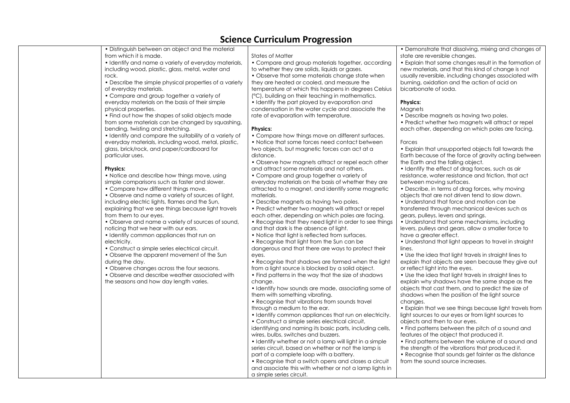| • Distinguish between an object and the material<br>from which it is made.                                                                                                                                                                                                                                                                                                                                                                                                                                                                                                                                                                                                                                                                                              | States of                                                                                                                                                                                                                                                                                                                                                                                       |
|-------------------------------------------------------------------------------------------------------------------------------------------------------------------------------------------------------------------------------------------------------------------------------------------------------------------------------------------------------------------------------------------------------------------------------------------------------------------------------------------------------------------------------------------------------------------------------------------------------------------------------------------------------------------------------------------------------------------------------------------------------------------------|-------------------------------------------------------------------------------------------------------------------------------------------------------------------------------------------------------------------------------------------------------------------------------------------------------------------------------------------------------------------------------------------------|
| • Identify and name a variety of everyday materials,<br>including wood, plastic, glass, metal, water and<br>rock.                                                                                                                                                                                                                                                                                                                                                                                                                                                                                                                                                                                                                                                       | • Compo<br>to wheth<br>• Observ                                                                                                                                                                                                                                                                                                                                                                 |
| • Describe the simple physical properties of a variety<br>of everyday materials.<br>• Compare and group together a variety of<br>everyday materials on the basis of their simple<br>physical properties.<br>• Find out how the shapes of solid objects made<br>from some materials can be changed by squashing,<br>bending, twisting and stretching.<br>• Identify and compare the suitability of a variety of<br>everyday materials, including wood, metal, plastic,                                                                                                                                                                                                                                                                                                   | they are I<br>temperat<br>(°C), build<br>$\bullet$ Identify<br>condens<br>rate of ev<br><b>Physics:</b><br>• Compc<br>• Notice                                                                                                                                                                                                                                                                  |
| glass, brick/rock, and paper/cardboard for<br>particular uses.                                                                                                                                                                                                                                                                                                                                                                                                                                                                                                                                                                                                                                                                                                          | two obje<br>distance.<br>• Observ                                                                                                                                                                                                                                                                                                                                                               |
| <b>Physics:</b><br>• Notice and describe how things move, using<br>simple comparisons such as faster and slower.<br>• Compare how different things move.<br>• Observe and name a variety of sources of light,<br>including electric lights, flames and the Sun,<br>explaining that we see things because light travels<br>from them to our eyes.<br>• Observe and name a variety of sources of sound,<br>noticing that we hear with our ears.<br>• Identify common appliances that run on<br>electricity.<br>• Construct a simple series electrical circuit.<br>• Observe the apparent movement of the Sun<br>during the day.<br>• Observe changes across the four seasons.<br>• Observe and describe weather associated with<br>the seasons and how day length varies. | and attrc<br>• Compc<br>everyday<br>attractec<br>materials<br>• Describ<br>• Predict<br>each oth<br>• Recogr<br>and that<br>• Notice<br>$\bullet$ Recogr<br>dangero<br>eyes.<br>• Recogr<br>from a lig<br>• Find pa<br>change.<br>• Identify<br>them with<br>• Recogr<br>through c<br>• Identify<br>• Constru<br>identifyin<br>wires, bul<br>• Identify<br>series circ<br>part of a<br>• Recogr |
|                                                                                                                                                                                                                                                                                                                                                                                                                                                                                                                                                                                                                                                                                                                                                                         |                                                                                                                                                                                                                                                                                                                                                                                                 |

#### Matter

are and aroup materials together, according

they are solids, liquids or gases.

e that some materials change state when heated or cooled, and measure the ture at which this happens in dearees Celsius

ding on their teaching in mathematics.

the part played by evaporation and cation in the water cycle and associate the vaporation with temperature.

are how things move on different surfaces. that some forces need contact between  $\cot s$ , but magnetic forces can act at a

e how magnets attract or repel each other act some materials and not others.

are and aroup together a variety of v materials on the basis of whether they are d to a magnet, and identify some magnetic materials.

e magnets as having two poles.

whether two magnets will attract or repel er, depending on which poles are facing.

hise that they need light in order to see things dark is the absence of light.

that light is reflected from surfaces.

hise that light from the Sun can be us and that there are ways to protect their

hise that shadows are formed when the light aht source is blocked by a solid object.

the find the way that the size of shadows

how sounds are made, associating some of th something vibrating.

 $n$  ise that vibrations from sounds travel a medium to the ear.

**common appliances that run on electricity.** 

uct a simple series electrical circuit, ig and naming its basic parts, including cells,

lbs, switches and buzzers. whether or not a lamp will light in a simple

cuit, based on whether or not the lamp is complete loop with a battery. nise that a switch opens and closes a circuit

and associate this with whether or not a lamp lights in a simple series circuit.

• Demonstrate that dissolving, mixing and changes of state are reversible changes.

• Explain that some changes result in the formation of new materials, and that this kind of change is not usually reversible, including changes associated with burning, oxidation and the action of acid on bicarbonate of soda.

#### **Physics:**

**Magnets** 

• Describe magnets as having two poles.

• Predict whether two magnets will attract or repel each other, depending on which poles are facing.

#### Forces

• Explain that unsupported objects fall towards the Earth because of the force of gravity acting between the Earth and the falling object.

• Identify the effect of drag forces, such as air resistance, water resistance and friction, that act between moving surfaces.

• Describe, in terms of drag forces, why moving objects that are not driven tend to slow down.

• Understand that force and motion can be transferred through mechanical devices such as gears, pulleys, levers and springs.

• Understand that some mechanisms, including levers, pulleys and gears, allow a smaller force to have a greater effect.

• Understand that light appears to travel in straight lines.

• Use the idea that light travels in straight lines to explain that objects are seen because they give out or reflect light into the eyes.

• Use the idea that light travels in straight lines to explain why shadows have the same shape as the objects that cast them, and to predict the size of shadows when the position of the light source changes.

• Explain that we see things because light travels from light sources to our eyes or from light sources to objects and then to our eyes.

• Find patterns between the pitch of a sound and features of the object that produced it.

• Find patterns between the volume of a sound and the strength of the vibrations that produced it.

• Recognise that sounds get fainter as the distance from the sound source increases.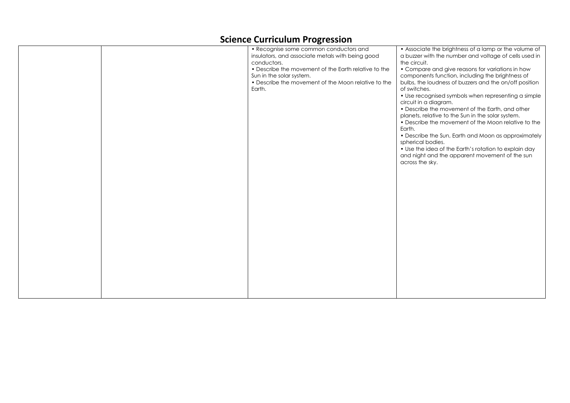|  | SCIENCE CUITICUIUM Progression<br>• Recognise some common conductors and<br>insulators, and associate metals with being good<br>conductors.<br>• Describe the movement of the Earth relative to the<br>Sun in the solar system.<br>• Describe the movement of the Moon relative to the<br>Earth. | • Associate the brightness of a lamp or the volume of<br>a buzzer with the number and voltage of cells used in<br>the circuit.<br>• Compare and give reasons for variations in how<br>components function, including the brightness of<br>bulbs, the loudness of buzzers and the on/off position<br>of switches.<br>• Use recognised symbols when representing a simple<br>circuit in a diagram.<br>• Describe the movement of the Earth, and other<br>planets, relative to the Sun in the solar system.<br>• Describe the movement of the Moon relative to the<br>Earth.<br>• Describe the Sun, Earth and Moon as approximately<br>spherical bodies.<br>• Use the idea of the Earth's rotation to explain day<br>and night and the apparent movement of the sun<br>across the sky. |
|--|--------------------------------------------------------------------------------------------------------------------------------------------------------------------------------------------------------------------------------------------------------------------------------------------------|-------------------------------------------------------------------------------------------------------------------------------------------------------------------------------------------------------------------------------------------------------------------------------------------------------------------------------------------------------------------------------------------------------------------------------------------------------------------------------------------------------------------------------------------------------------------------------------------------------------------------------------------------------------------------------------------------------------------------------------------------------------------------------------|
|  |                                                                                                                                                                                                                                                                                                  |                                                                                                                                                                                                                                                                                                                                                                                                                                                                                                                                                                                                                                                                                                                                                                                     |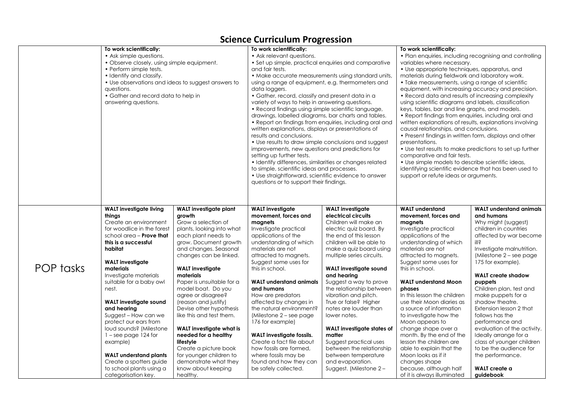|           | To work scientifically:                            |                                          | To work scientifically:                                 |                                                         | To work scientifically:                                  |                                       |
|-----------|----------------------------------------------------|------------------------------------------|---------------------------------------------------------|---------------------------------------------------------|----------------------------------------------------------|---------------------------------------|
|           | • Ask simple questions.                            |                                          | • Ask relevant questions.                               |                                                         | • Plan enquiries, including recognising and controlling  |                                       |
|           | • Observe closely, using simple equipment.         |                                          | • Set up simple, practical enquiries and comparative    |                                                         | variables where necessary.                               |                                       |
|           | • Perform simple tests.                            |                                          | and fair tests.                                         |                                                         | • Use appropriate techniques, apparatus, and             |                                       |
|           | • Identify and classify.                           |                                          | • Make accurate measurements using standard units,      |                                                         | materials during fieldwork and laboratory work.          |                                       |
|           | • Use observations and ideas to suggest answers to |                                          | using a range of equipment, e.g. thermometers and       |                                                         | • Take measurements, using a range of scientific         |                                       |
|           | questions.                                         |                                          | data loggers.                                           |                                                         | equipment, with increasing accuracy and precision.       |                                       |
|           | • Gather and record data to help in                |                                          | • Gather, record, classify and present data in a        |                                                         | • Record data and results of increasing complexity       |                                       |
|           | answering questions.                               |                                          | variety of ways to help in answering questions.         |                                                         | using scientific diagrams and labels, classification     |                                       |
|           |                                                    |                                          | • Record findings using simple scientific language,     |                                                         | keys, tables, bar and line graphs, and models.           |                                       |
|           |                                                    |                                          | drawings, labelled diagrams, bar charts and tables.     |                                                         | • Report findings from enquiries, including oral and     |                                       |
|           |                                                    |                                          |                                                         | • Report on findings from enquiries, including oral and | written explanations of results, explanations involving  |                                       |
|           |                                                    |                                          | written explanations, displays or presentations of      |                                                         | causal relationships, and conclusions.                   |                                       |
|           |                                                    |                                          | results and conclusions.                                |                                                         | • Present findings in written form, displays and other   |                                       |
|           |                                                    |                                          | • Use results to draw simple conclusions and suggest    |                                                         | presentations.                                           |                                       |
|           |                                                    |                                          | improvements, new questions and predictions for         |                                                         | • Use test results to make predictions to set up further |                                       |
|           |                                                    |                                          | setting up further tests.                               |                                                         | comparative and fair tests.                              |                                       |
|           |                                                    |                                          | • Identify differences, similarities or changes related |                                                         | • Use simple models to describe scientific ideas,        |                                       |
|           |                                                    |                                          | to simple, scientific ideas and processes.              |                                                         | identifying scientific evidence that has been used to    |                                       |
|           |                                                    |                                          | • Use straightforward, scientific evidence to answer    |                                                         | support or refute ideas or arguments.                    |                                       |
|           |                                                    |                                          | questions or to support their findings.                 |                                                         |                                                          |                                       |
|           |                                                    |                                          |                                                         |                                                         |                                                          |                                       |
|           |                                                    |                                          |                                                         |                                                         |                                                          |                                       |
|           |                                                    |                                          |                                                         |                                                         |                                                          |                                       |
|           | <b>WALT</b> investigate living                     | WALT investigate plant                   | <b>WALT</b> investigate                                 | <b>WALT</b> investigate                                 | <b>WALT understand</b>                                   | <b>WALT</b> understand animals        |
|           | thinas                                             | growth                                   | movement, forces and                                    | electrical circuits                                     | movement, forces and                                     | and humans                            |
|           | Create an environment                              | Grow a selection of                      | magnets                                                 | Children will make an                                   | magnets                                                  | Why might (suggest)                   |
|           | for woodlice in the forest                         | plants, looking into what                | Investigate practical                                   | electric quiz board. By                                 | Investigate practical                                    | children in countries                 |
|           | school area $-$ Prove that                         | each plant needs to                      | applications of the                                     | the end of this lesson                                  | applications of the                                      | affected by war become                |
|           | this is a successful                               | grow. Document growth                    | understanding of which                                  | children will be able to                                | understanding of which                                   | illŝ                                  |
|           | habitat                                            | and changes. Seasonal                    | materials are not                                       | make a quiz board using                                 | materials are not                                        | Investigate malnutrition.             |
|           |                                                    | changes can be linked.                   | attracted to magnets.                                   | multiple series circuits.                               | attracted to magnets.                                    | (Milestone $2 -$ see page)            |
|           | <b>WALT</b> investigate                            |                                          | Suggest some uses for                                   |                                                         | Suggest some uses for                                    | 175 for example).                     |
| POP tasks | materials                                          | <b>WALT</b> investigate                  | this in school.                                         | WALT investigate sound                                  | this in school.                                          |                                       |
|           | Investigate materials<br>suitable for a baby owl   | materials                                |                                                         | and hearing                                             |                                                          | <b>WALT</b> create shadow             |
|           | nest.                                              | Paper is unsuitable for a                | <b>WALT</b> understand animals<br>and humans            | Suggest a way to prove<br>the relationship between      | <b>WALT understand Moon</b><br>phases                    | puppets                               |
|           |                                                    | model boat. Do you<br>agree or disagree? |                                                         | vibration and pitch.                                    | In this lesson the children                              | Children plan, test and               |
|           | <b>WALT</b> investigate sound                      | (reason and justify)                     | How are predators<br>affected by changes in             | True or false? Higher                                   | use their Moon diaries as                                | make puppets for a<br>shadow theatre. |
|           | and hearing                                        | Devise other hypothesis                  | the natural environment?                                | notes are louder than                                   | a source of information                                  | Extension lesson 2 that               |
|           | Suggest - How can we                               | like this and test them.                 | (Milestone $2 -$ see page)                              | lower notes.                                            | to investigate how the                                   | follows has the                       |
|           | protect our ears from                              |                                          | 176 for example)                                        |                                                         | Moon appears to                                          | performance and                       |
|           | loud sounds? (Milestone                            | <b>WALT</b> investigate what is          |                                                         | WALT investigate states of                              | change shape over a                                      | evaluation of the activity.           |
|           | $1 -$ see page 124 for                             | needed for a healthy                     | <b>WALT</b> investigate fossils.                        | matter                                                  | month. By the end of the                                 | Ideally arrange for a                 |
|           | example)                                           | lifestyle                                | Create a fact file about                                | Suggest practical uses                                  | lesson the children are                                  | class of younger children             |
|           |                                                    | Create a picture book                    | how fossils are formed,                                 | between the relationship                                | able to explain that the                                 | to be the audience for                |
|           | <b>WALT</b> understand plants                      | for younger children to                  | where fossils may be                                    | between temperature                                     | Moon looks as if it                                      | the performance.                      |
|           | Create a spotters guide                            | demonstrate what they                    | found and how they can                                  | and evaporation.                                        | changes shape                                            |                                       |
|           | to school plants using a                           | know about keeping                       | be safely collected.                                    |                                                         |                                                          | WALT create a                         |
|           | categorisation key.                                | healthy.                                 |                                                         | Suggest. (Milestone 2 –                                 | because, although half<br>of it is always illuminated    | guidebook                             |
|           |                                                    |                                          |                                                         |                                                         |                                                          |                                       |